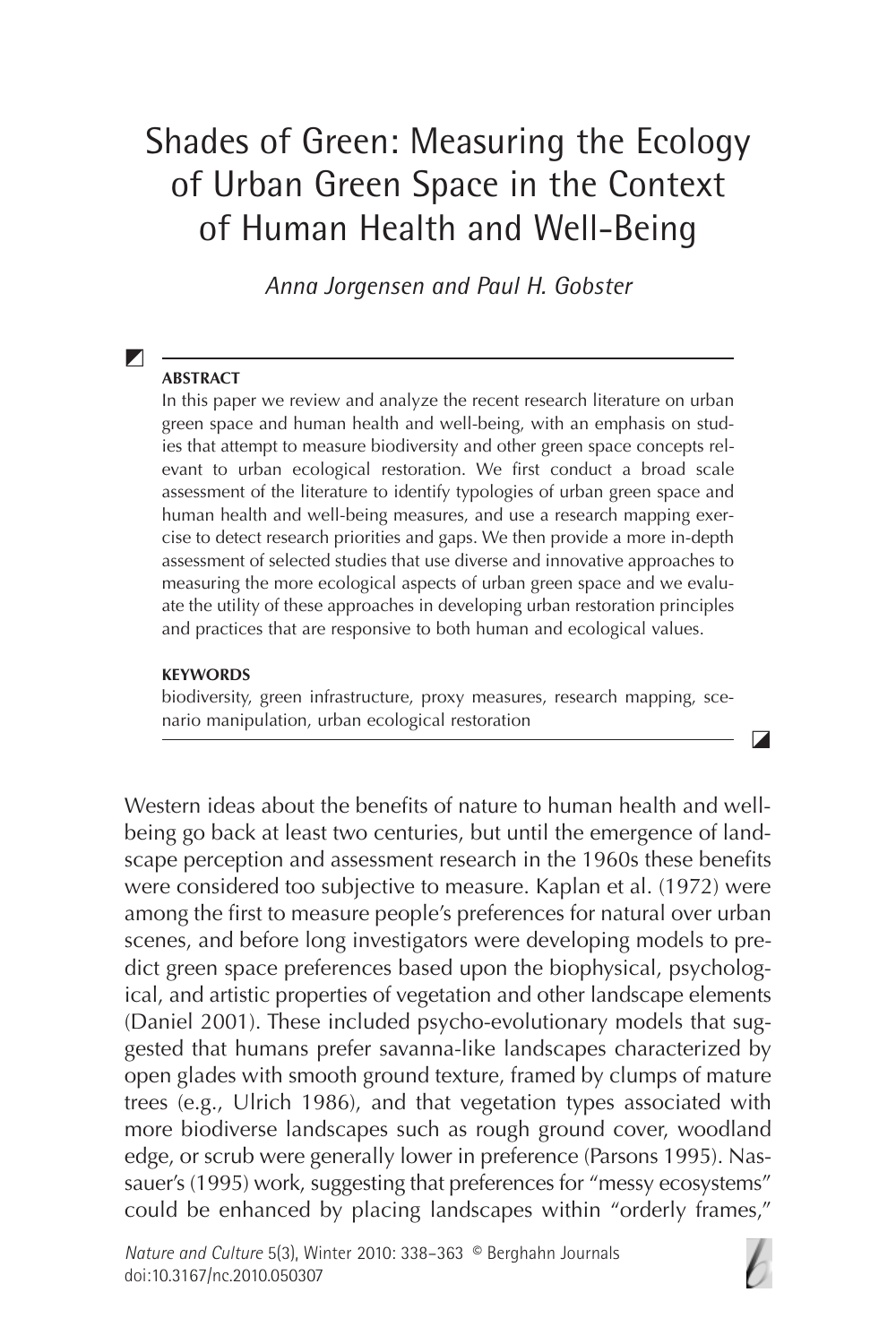# Shades of Green: Measuring the Ecology of Urban Green Space in the Context of Human Health and Well-Being

Anna Jorgensen and Paul H. Gobster

#### **ABSTRACT**

 $\blacktriangledown$ 

In this paper we review and analyze the recent research literature on urban green space and human health and well-being, with an emphasis on studies that attempt to measure biodiversity and other green space concepts relevant to urban ecological restoration. We first conduct a broad scale assessment of the literature to identify typologies of urban green space and human health and well-being measures, and use a research mapping exercise to detect research priorities and gaps. We then provide a more in-depth assessment of selected studies that use diverse and innovative approaches to measuring the more ecological aspects of urban green space and we evaluate the utility of these approaches in developing urban restoration principles and practices that are responsive to both human and ecological values.

#### **KEYWORDS**

biodiversity, green infrastructure, proxy measures, research mapping, scenario manipulation, urban ecological restoration

Western ideas about the benefits of nature to human health and wellbeing go back at least two centuries, but until the emergence of landscape perception and assessment research in the 1960s these benefits were considered too subjective to measure. Kaplan et al. (1972) were among the first to measure people's preferences for natural over urban scenes, and before long investigators were developing models to predict green space preferences based upon the biophysical, psychological, and artistic properties of vegetation and other landscape elements (Daniel 2001). These included psycho-evolutionary models that suggested that humans prefer savanna-like landscapes characterized by open glades with smooth ground texture, framed by clumps of mature trees (e.g., Ulrich 1986), and that vegetation types associated with more biodiverse landscapes such as rough ground cover, woodland edge, or scrub were generally lower in preference (Parsons 1995). Nassauer's (1995) work, suggesting that preferences for "messy ecosystems" could be enhanced by placing landscapes within "orderly frames,"



 $\blacksquare$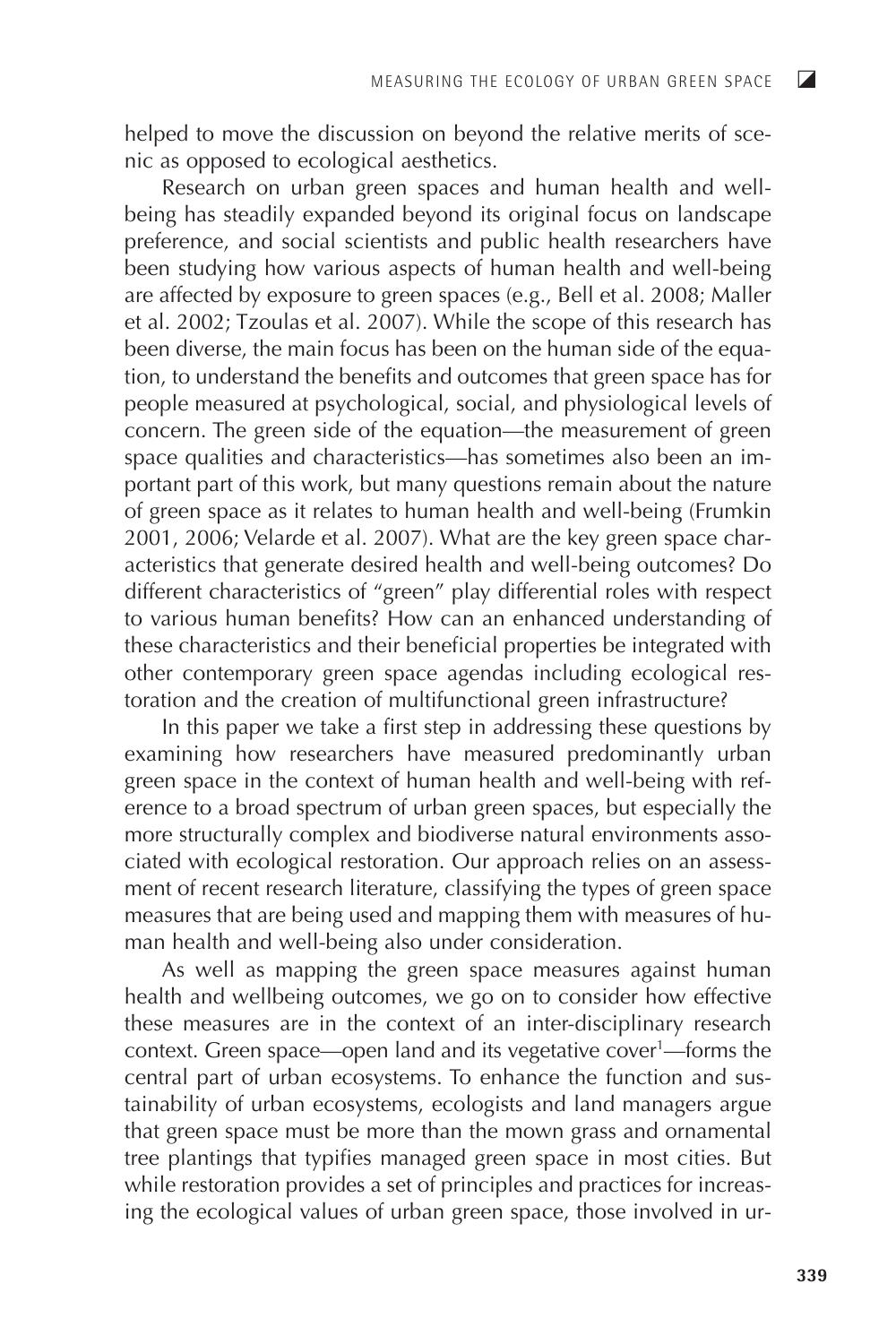helped to move the discussion on beyond the relative merits of scenic as opposed to ecological aesthetics.

Research on urban green spaces and human health and wellbeing has steadily expanded beyond its original focus on landscape preference, and social scientists and public health researchers have been studying how various aspects of human health and well-being are affected by exposure to green spaces (e.g., Bell et al. 2008; Maller et al. 2002; Tzoulas et al. 2007). While the scope of this research has been diverse, the main focus has been on the human side of the equation, to understand the benefits and outcomes that green space has for people measured at psychological, social, and physiological levels of concern. The green side of the equation—the measurement of green space qualities and characteristics—has sometimes also been an important part of this work, but many questions remain about the nature of green space as it relates to human health and well-being (Frumkin 2001, 2006; Velarde et al. 2007). What are the key green space characteristics that generate desired health and well-being outcomes? Do different characteristics of "green" play differential roles with respect to various human benefits? How can an enhanced understanding of these characteristics and their beneficial properties be integrated with other contemporary green space agendas including ecological restoration and the creation of multifunctional green infrastructure?

In this paper we take a first step in addressing these questions by examining how researchers have measured predominantly urban green space in the context of human health and well-being with reference to a broad spectrum of urban green spaces, but especially the more structurally complex and biodiverse natural environments associated with ecological restoration. Our approach relies on an assessment of recent research literature, classifying the types of green space measures that are being used and mapping them with measures of human health and well-being also under consideration.

As well as mapping the green space measures against human health and wellbeing outcomes, we go on to consider how effective these measures are in the context of an inter-disciplinary research context. Green space—open land and its vegetative cover<sup>1</sup>—forms the central part of urban ecosystems. To enhance the function and sustainability of urban ecosystems, ecologists and land managers argue that green space must be more than the mown grass and ornamental tree plantings that typifies managed green space in most cities. But while restoration provides a set of principles and practices for increasing the ecological values of urban green space, those involved in ur-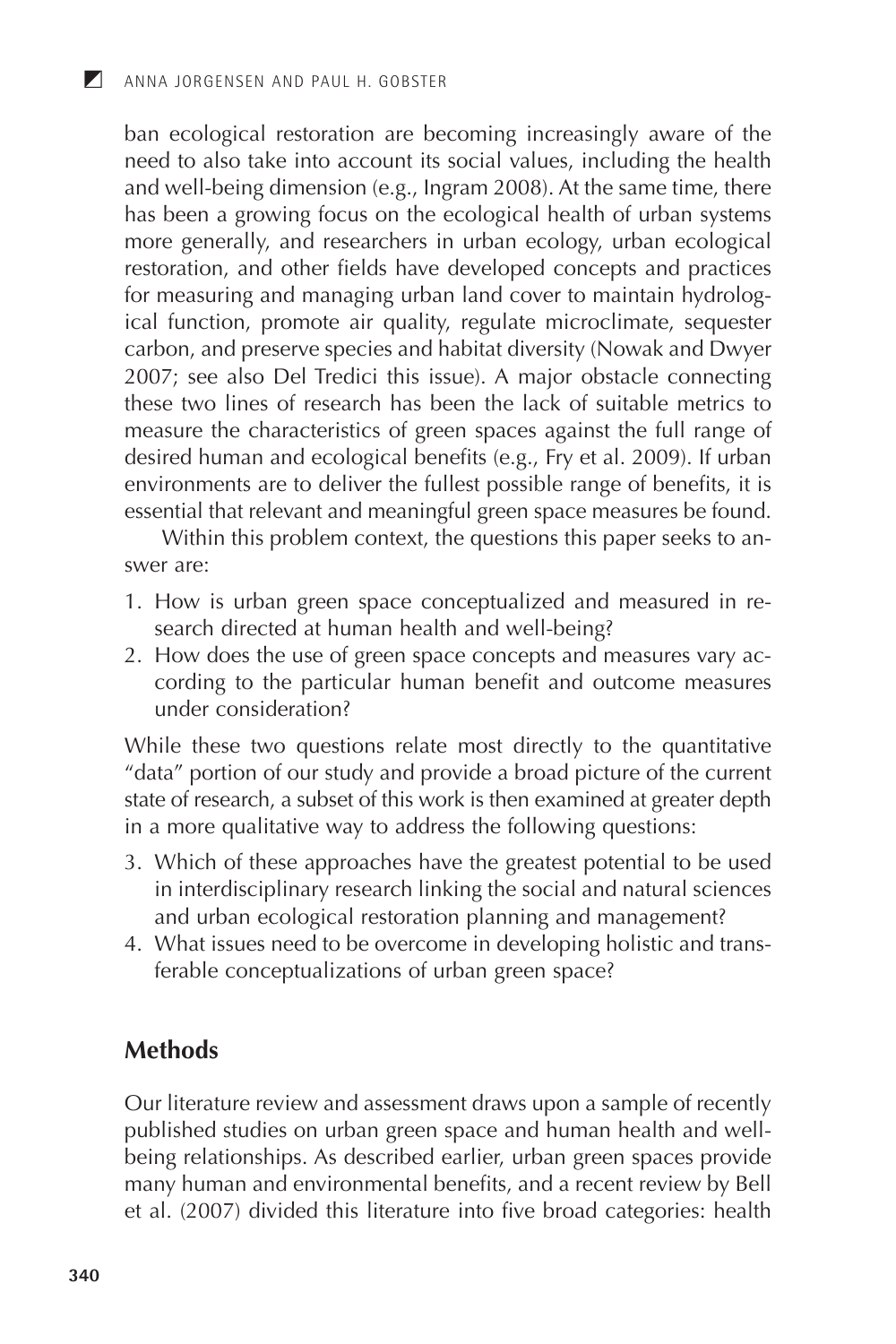ban ecological restoration are becoming increasingly aware of the need to also take into account its social values, including the health and well-being dimension (e.g., Ingram 2008). At the same time, there has been a growing focus on the ecological health of urban systems more generally, and researchers in urban ecology, urban ecological restoration, and other fields have developed concepts and practices for measuring and managing urban land cover to maintain hydrological function, promote air quality, regulate microclimate, sequester carbon, and preserve species and habitat diversity (Nowak and Dwyer 2007; see also Del Tredici this issue). A major obstacle connecting these two lines of research has been the lack of suitable metrics to measure the characteristics of green spaces against the full range of desired human and ecological benefits (e.g., Fry et al. 2009). If urban environments are to deliver the fullest possible range of benefits, it is essential that relevant and meaningful green space measures be found.

Within this problem context, the questions this paper seeks to answer are:

- 1. How is urban green space conceptualized and measured in research directed at human health and well-being?
- 2. How does the use of green space concepts and measures vary according to the particular human benefit and outcome measures under consideration?

While these two questions relate most directly to the quantitative "data" portion of our study and provide a broad picture of the current state of research, a subset of this work is then examined at greater depth in a more qualitative way to address the following questions:

- 3. Which of these approaches have the greatest potential to be used in interdisciplinary research linking the social and natural sciences and urban ecological restoration planning and management?
- 4. What issues need to be overcome in developing holistic and transferable conceptualizations of urban green space?

## **Methods**

Our literature review and assessment draws upon a sample of recently published studies on urban green space and human health and wellbeing relationships. As described earlier, urban green spaces provide many human and environmental benefits, and a recent review by Bell et al. (2007) divided this literature into five broad categories: health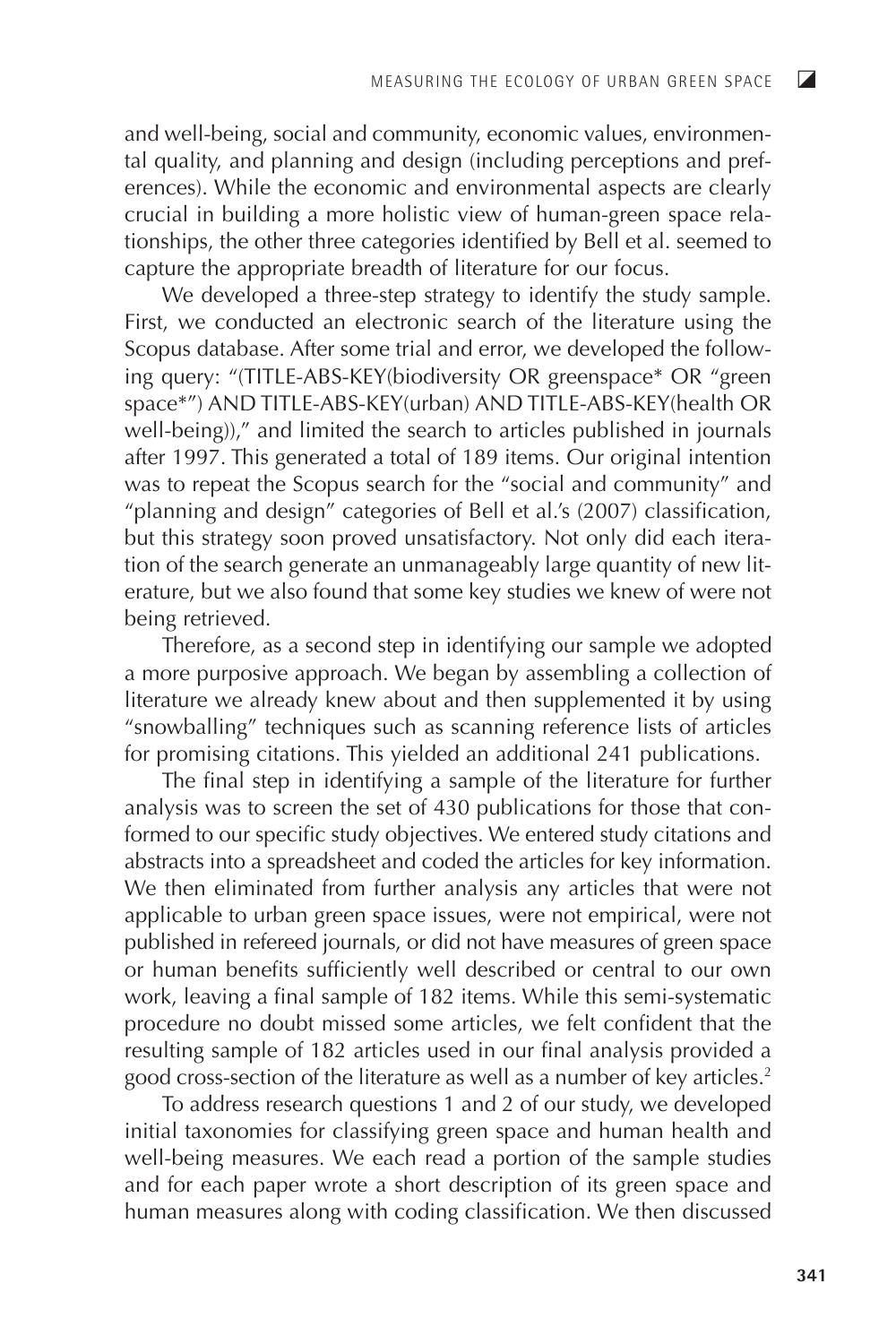and well-being, social and community, economic values, environmental quality, and planning and design (including perceptions and preferences). While the economic and environmental aspects are clearly crucial in building a more holistic view of human-green space relationships, the other three categories identified by Bell et al. seemed to capture the appropriate breadth of literature for our focus.

We developed a three-step strategy to identify the study sample. First, we conducted an electronic search of the literature using the Scopus database. After some trial and error, we developed the following query: "(TITLE-ABS-KEY(biodiversity OR greenspace\* OR "green space\*") AND TITLE-ABS-KEY(urban) AND TITLE-ABS-KEY(health OR well-being)," and limited the search to articles published in journals after 1997. This generated a total of 189 items. Our original intention was to repeat the Scopus search for the "social and community" and "planning and design" categories of Bell et al.'s (2007) classification, but this strategy soon proved unsatisfactory. Not only did each iteration of the search generate an unmanageably large quantity of new literature, but we also found that some key studies we knew of were not being retrieved.

Therefore, as a second step in identifying our sample we adopted a more purposive approach. We began by assembling a collection of literature we already knew about and then supplemented it by using "snowballing" techniques such as scanning reference lists of articles for promising citations. This yielded an additional 241 publications.

The final step in identifying a sample of the literature for further analysis was to screen the set of 430 publications for those that conformed to our specific study objectives. We entered study citations and abstracts into a spreadsheet and coded the articles for key information. We then eliminated from further analysis any articles that were not applicable to urban green space issues, were not empirical, were not published in refereed journals, or did not have measures of green space or human benefits sufficiently well described or central to our own work, leaving a final sample of 182 items. While this semi-systematic procedure no doubt missed some articles, we felt confident that the resulting sample of 182 articles used in our final analysis provided a good cross-section of the literature as well as a number of key articles.<sup>2</sup>

To address research questions 1 and 2 of our study, we developed initial taxonomies for classifying green space and human health and well-being measures. We each read a portion of the sample studies and for each paper wrote a short description of its green space and human measures along with coding classification. We then discussed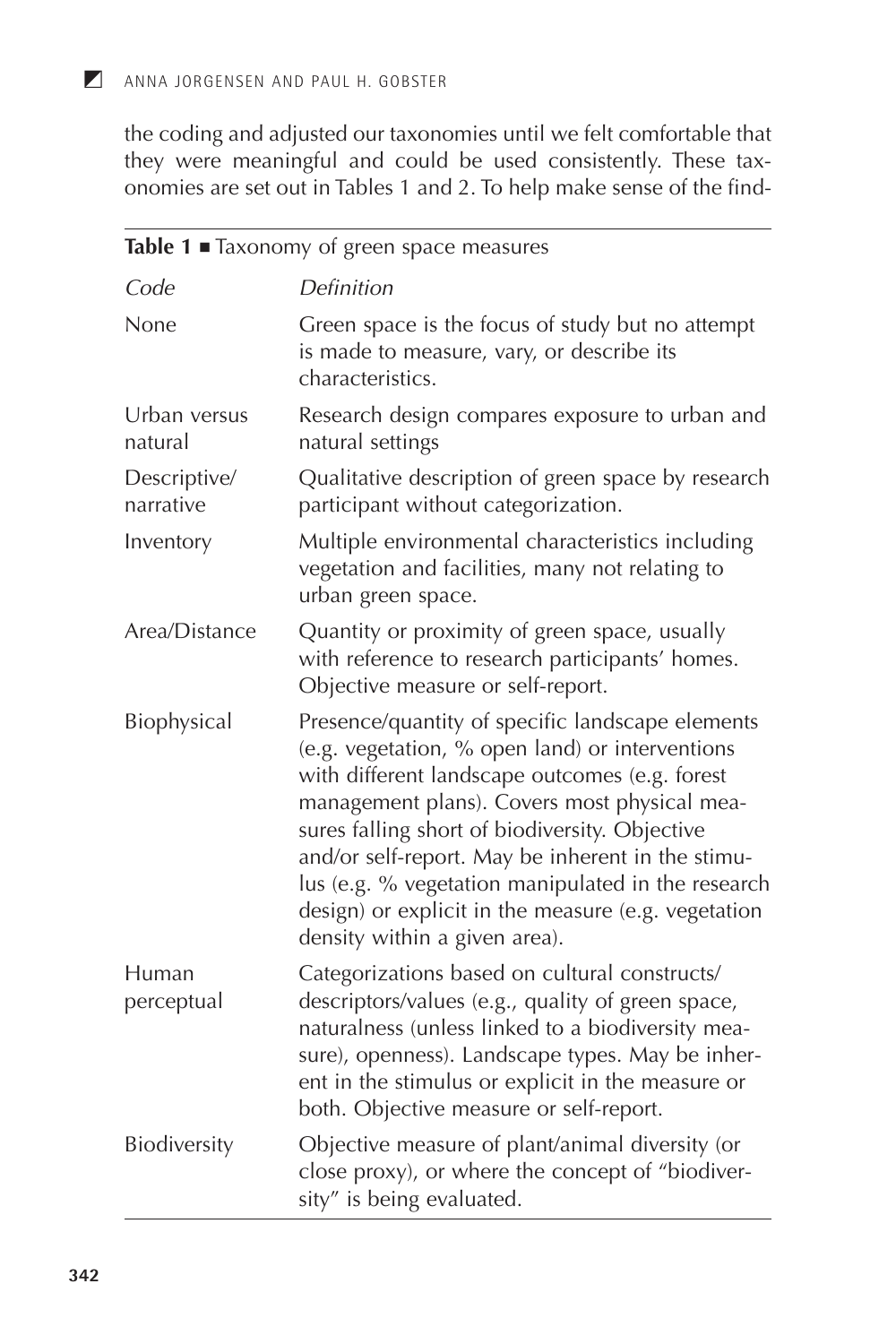the coding and adjusted our taxonomies until we felt comfortable that they were meaningful and could be used consistently. These taxonomies are set out in Tables 1 and 2. To help make sense of the find-

|                           | Table 1 Taxonomy of green space measures                                                                                                                                                                                                                                                                                                                                                                                                                   |
|---------------------------|------------------------------------------------------------------------------------------------------------------------------------------------------------------------------------------------------------------------------------------------------------------------------------------------------------------------------------------------------------------------------------------------------------------------------------------------------------|
| Code                      | Definition                                                                                                                                                                                                                                                                                                                                                                                                                                                 |
| None                      | Green space is the focus of study but no attempt<br>is made to measure, vary, or describe its<br>characteristics.                                                                                                                                                                                                                                                                                                                                          |
| Urban versus<br>natural   | Research design compares exposure to urban and<br>natural settings                                                                                                                                                                                                                                                                                                                                                                                         |
| Descriptive/<br>narrative | Qualitative description of green space by research<br>participant without categorization.                                                                                                                                                                                                                                                                                                                                                                  |
| Inventory                 | Multiple environmental characteristics including<br>vegetation and facilities, many not relating to<br>urban green space.                                                                                                                                                                                                                                                                                                                                  |
| Area/Distance             | Quantity or proximity of green space, usually<br>with reference to research participants' homes.<br>Objective measure or self-report.                                                                                                                                                                                                                                                                                                                      |
| Biophysical               | Presence/quantity of specific landscape elements<br>(e.g. vegetation, % open land) or interventions<br>with different landscape outcomes (e.g. forest<br>management plans). Covers most physical mea-<br>sures falling short of biodiversity. Objective<br>and/or self-report. May be inherent in the stimu-<br>lus (e.g. % vegetation manipulated in the research<br>design) or explicit in the measure (e.g. vegetation<br>density within a given area). |
| Human<br>perceptual       | Categorizations based on cultural constructs/<br>descriptors/values (e.g., quality of green space,<br>naturalness (unless linked to a biodiversity mea-<br>sure), openness). Landscape types. May be inher-<br>ent in the stimulus or explicit in the measure or<br>both. Objective measure or self-report.                                                                                                                                                |
| Biodiversity              | Objective measure of plant/animal diversity (or<br>close proxy), or where the concept of "biodiver-<br>sity" is being evaluated.                                                                                                                                                                                                                                                                                                                           |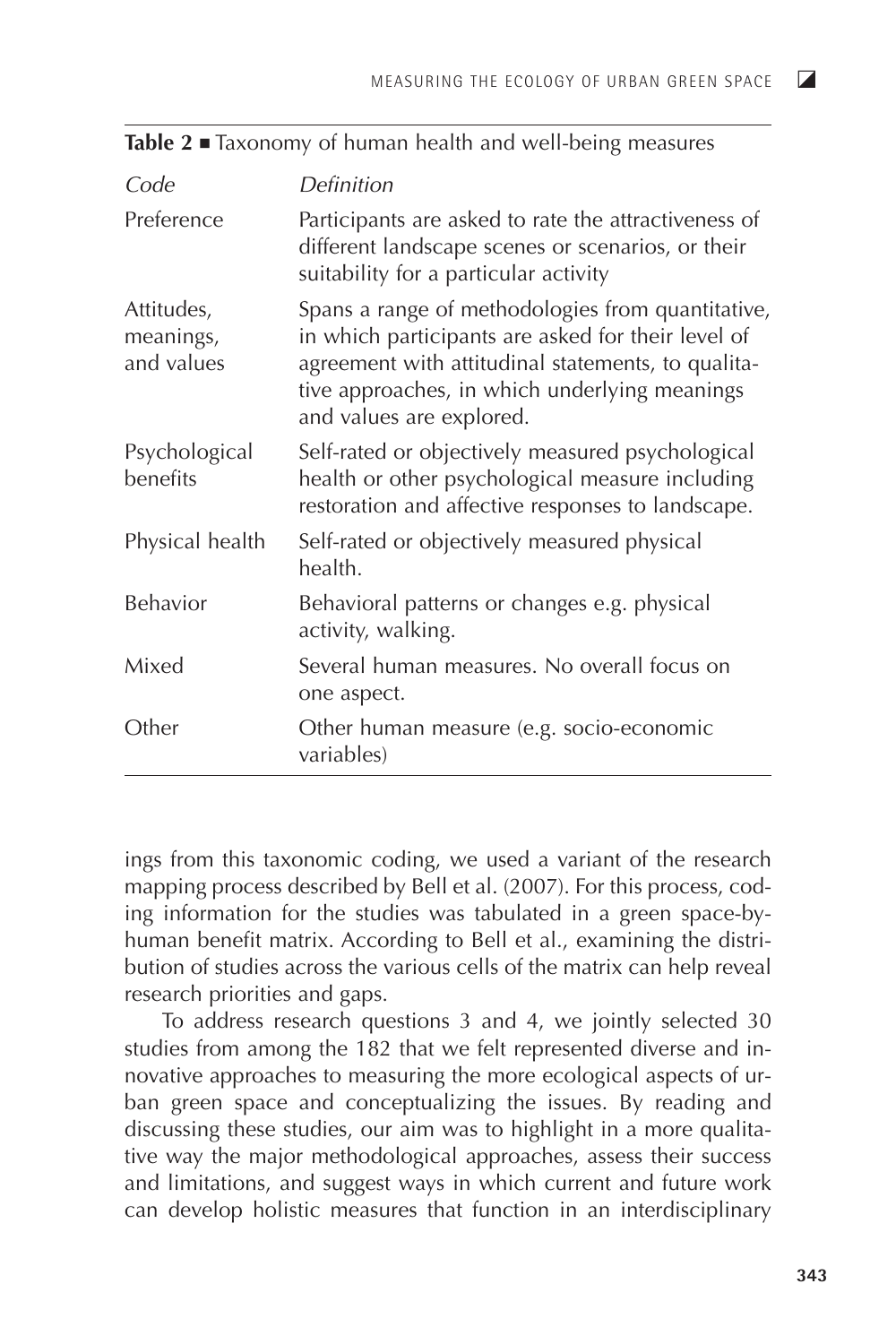$\overline{\mathbf{z}}$ 

| Code                                  | Definition                                                                                                                                                                                                                                 |
|---------------------------------------|--------------------------------------------------------------------------------------------------------------------------------------------------------------------------------------------------------------------------------------------|
| Preference                            | Participants are asked to rate the attractiveness of<br>different landscape scenes or scenarios, or their<br>suitability for a particular activity                                                                                         |
| Attitudes,<br>meanings,<br>and values | Spans a range of methodologies from quantitative,<br>in which participants are asked for their level of<br>agreement with attitudinal statements, to qualita-<br>tive approaches, in which underlying meanings<br>and values are explored. |
| Psychological<br>benefits             | Self-rated or objectively measured psychological<br>health or other psychological measure including<br>restoration and affective responses to landscape.                                                                                   |
| Physical health                       | Self-rated or objectively measured physical<br>health.                                                                                                                                                                                     |
| Behavior                              | Behavioral patterns or changes e.g. physical<br>activity, walking.                                                                                                                                                                         |
| Mixed                                 | Several human measures. No overall focus on<br>one aspect.                                                                                                                                                                                 |
| Other                                 | Other human measure (e.g. socio-economic<br>variables)                                                                                                                                                                                     |

Table  $2 \equiv$  Taxonomy of human health and well-being measures

ings from this taxonomic coding, we used a variant of the research mapping process described by Bell et al. (2007). For this process, coding information for the studies was tabulated in a green space-byhuman benefit matrix. According to Bell et al., examining the distribution of studies across the various cells of the matrix can help reveal research priorities and gaps.

To address research questions 3 and 4, we jointly selected 30 studies from among the 182 that we felt represented diverse and innovative approaches to measuring the more ecological aspects of urban green space and conceptualizing the issues. By reading and discussing these studies, our aim was to highlight in a more qualitative way the major methodological approaches, assess their success and limitations, and suggest ways in which current and future work can develop holistic measures that function in an interdisciplinary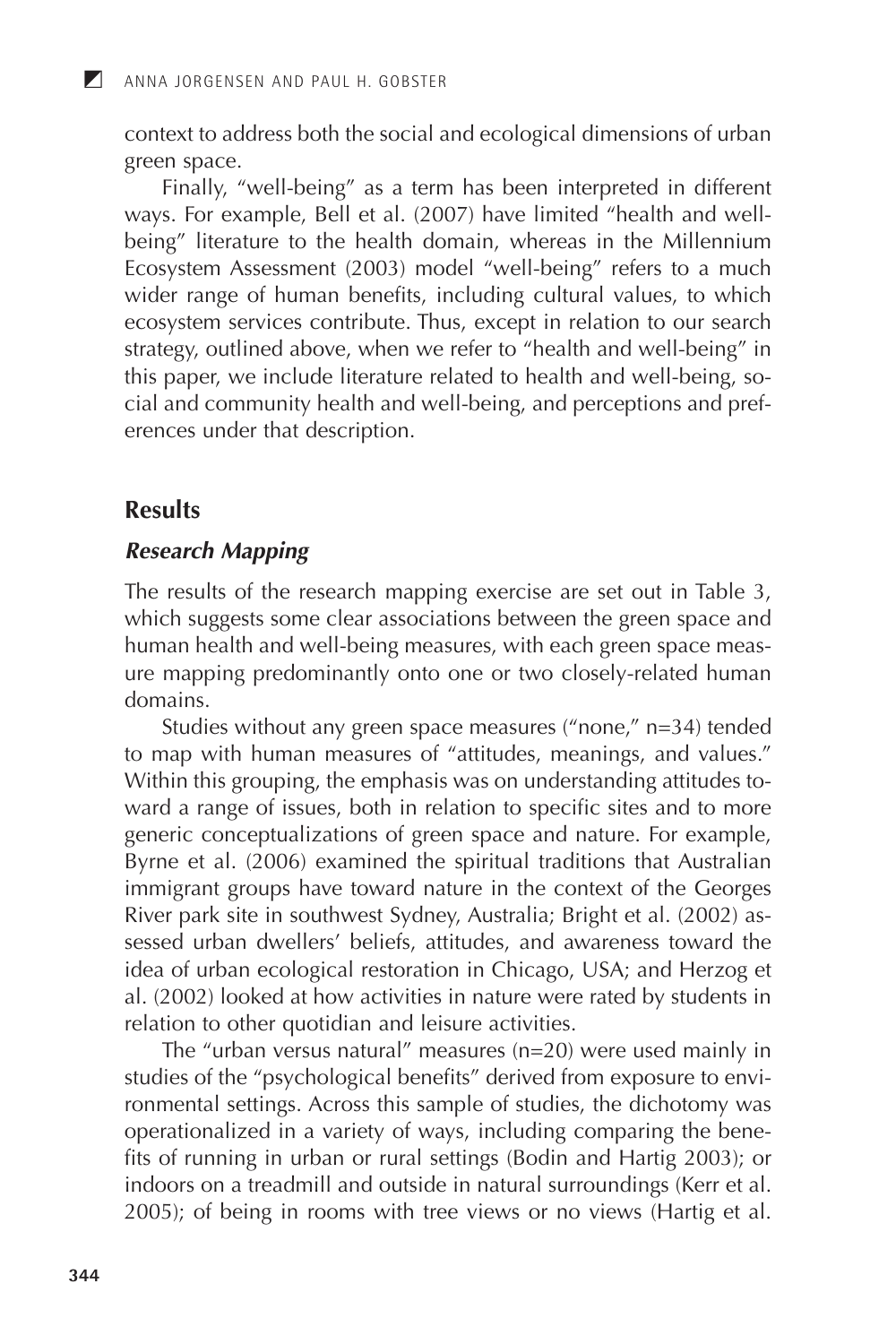context to address both the social and ecological dimensions of urban green space.

Finally, "well-being" as a term has been interpreted in different<br>ways. For example, Bell et al. (2007) have limited "health and wellbeing" literature to the health domain, whereas in the Millennium Ecosystem Assessment (2003) model "well-being" refers to a much wider range of human benefits, including cultural values, to which ecosystem services contribute. Thus, except in relation to our search strategy, outlined above, when we refer to "health and well-being" in this paper, we include literature related to health and well-being, social and community health and well-being, and perceptions and preferences under that description.

## **Results**

 $\blacksquare$ 

#### **Research Mapping**

The results of the research mapping exercise are set out in Table 3, which suggests some clear associations between the green space and human health and well-being measures, with each green space measure mapping predominantly onto one or two closely-related human domains

Studies without any green space measures ("none," n=34) tended<br>to map with human measures of "attitudes, meanings, and values." Within this grouping, the emphasis was on understanding attitudes toward a range of issues, both in relation to specific sites and to more generic conceptualizations of green space and nature. For example, Byrne et al. (2006) examined the spiritual traditions that Australian immigrant groups have toward nature in the context of the Georges River park site in southwest Sydney, Australia; Bright et al. (2002) assessed urban dwellers' beliefs, attitudes, and awareness toward the idea of urban ecological restoration in Chicago, USA; and Herzog et al. (2002) looked at how activities in nature were rated by students in relation to other quotidian and leisure activities.

The "urban versus natural" measures  $(n=20)$  were used mainly in studies of the "psychological benefits" derived from exposure to environmental settings. Across this sample of studies, the dichotomy was operationalized in a variety of ways, including comparing the benefits of running in urban or rural settings (Bodin and Hartig 2003); or indoors on a treadmill and outside in natural surroundings (Kerr et al. 2005); of being in rooms with tree views or no views (Hartig et al.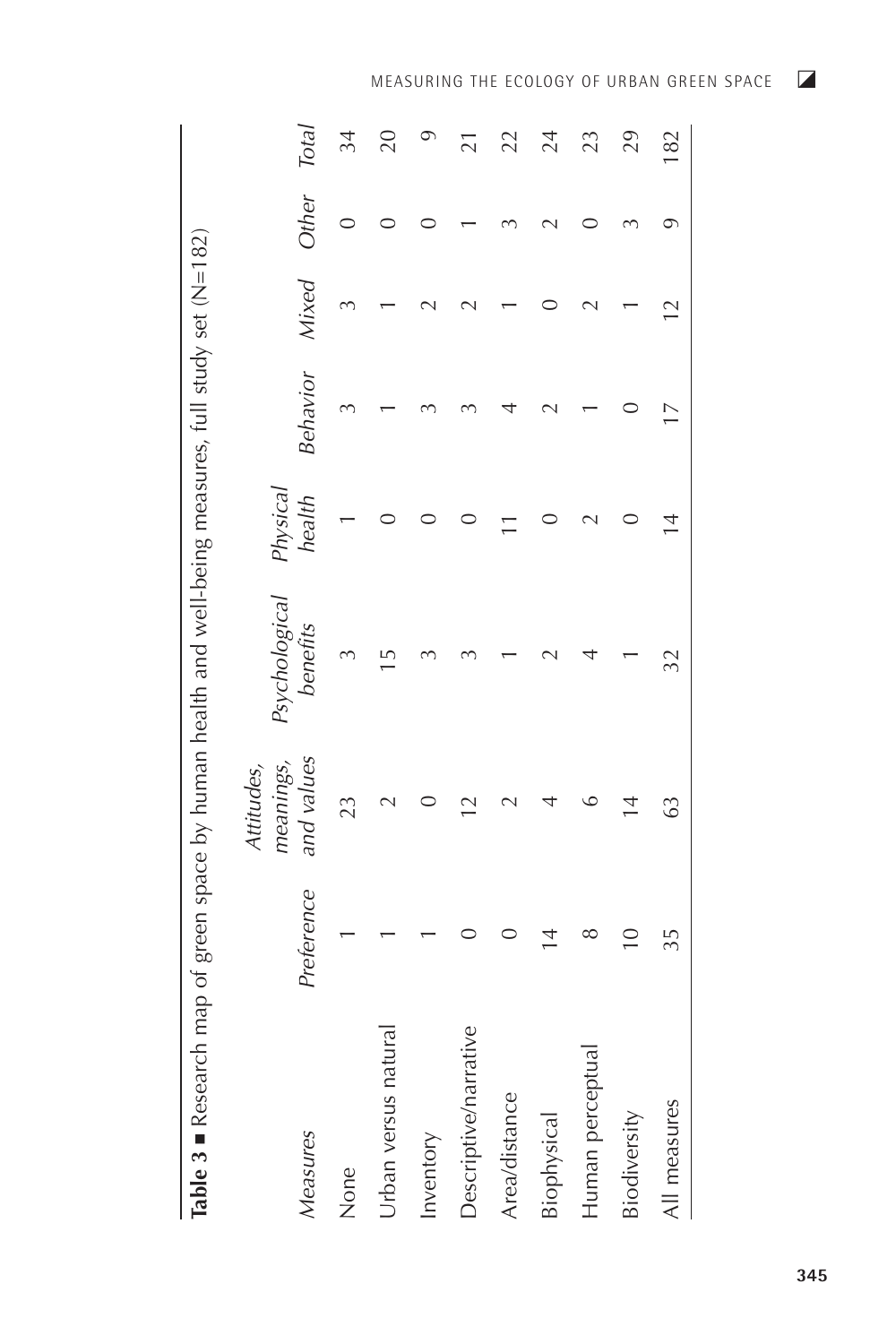| Table 3 Research map of green space by human health and well-being measures, full study set (N=182) |               |                                       |                           |                          |                 |                 |       |                 |
|-----------------------------------------------------------------------------------------------------|---------------|---------------------------------------|---------------------------|--------------------------|-----------------|-----------------|-------|-----------------|
| Measures                                                                                            | Preference    | and values<br>meanings,<br>Attitudes, | Psychological<br>benefits | Physical<br>health       | Behavior        | Mixed           | Other | Total           |
| None                                                                                                |               | 23                                    |                           |                          | ξ               |                 |       | 34              |
| Urban versus natural                                                                                |               |                                       | $\overline{1}$            |                          |                 |                 |       | 20              |
| Inventory                                                                                           |               |                                       |                           |                          |                 |                 |       | $\circ$         |
| Descriptive/narrative                                                                               |               | $\overline{2}$                        |                           |                          |                 |                 |       | $\overline{21}$ |
| Area/distance                                                                                       |               |                                       |                           | $\overline{\phantom{0}}$ |                 |                 |       | 22              |
| Biophysical                                                                                         | $\frac{4}{4}$ |                                       |                           |                          |                 |                 |       | 24              |
| Human perceptua                                                                                     | ∞             |                                       |                           |                          |                 |                 |       | 23              |
| Biodiversity                                                                                        | $\frac{1}{2}$ | $\overline{4}$                        |                           |                          |                 |                 |       | 29              |
| All measures                                                                                        | 35            | G3                                    | 32                        | $\frac{4}{3}$            | $\overline{17}$ | $\overline{12}$ |       | 182             |

MEASURING THE ECOLOGY OF URBAN GREEN SPACE  $\Box$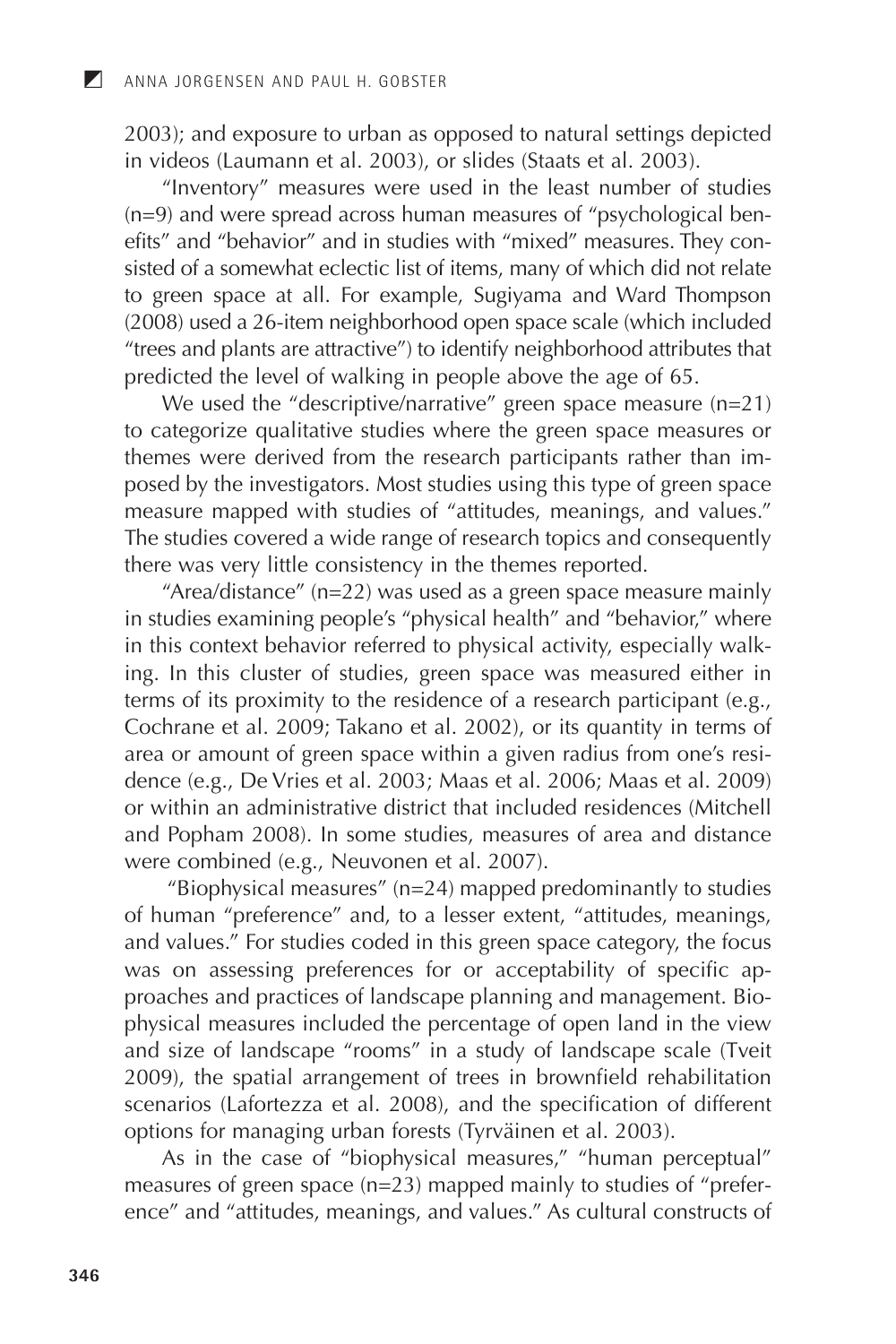2003); and exposure to urban as opposed to natural settings depicted in videos (Laumann et al. 2003), or slides (Staats et al. 2003).

"Inventory" measures were used in the least number of studies (n=9) and were spread across human measures of "psychological benefits" and "behavior" and in studies with "mixed" measures. They consisted of a somewhat eclectic list of items, many of which did not relate to green space to green space at all. For example, Sugiyama and Ward Thompson (2008) used a 26-item neighborhood open space scale (which included "trees and plants are attractive") to identify neighborhood attributes that predicted the

themes were derived from the research participants rather than im-<br>posed by the investigators. Most studies using this type of green space<br>measure mapped with studies of "attitudes, meanings, and values."<br>The studies cover and Popham 2008). In some studies, measures of area and distance

and Popham 2008). In some studies, measures of area and distance<br>were combined (e.g., Neuvonen et al. 2007).<br>"Biophysical measures" (n=24) mapped predominantly to studies<br>of human "preference" and, to a lesser extent, "at

2009), the spatial arrangement of trees in brownhead renabilitation<br>scenarios (Lafortezza et al. 2008), and the specification of different<br>options for managing urban forests (Tyrväinen et al. 2003).<br>As in the case of "bio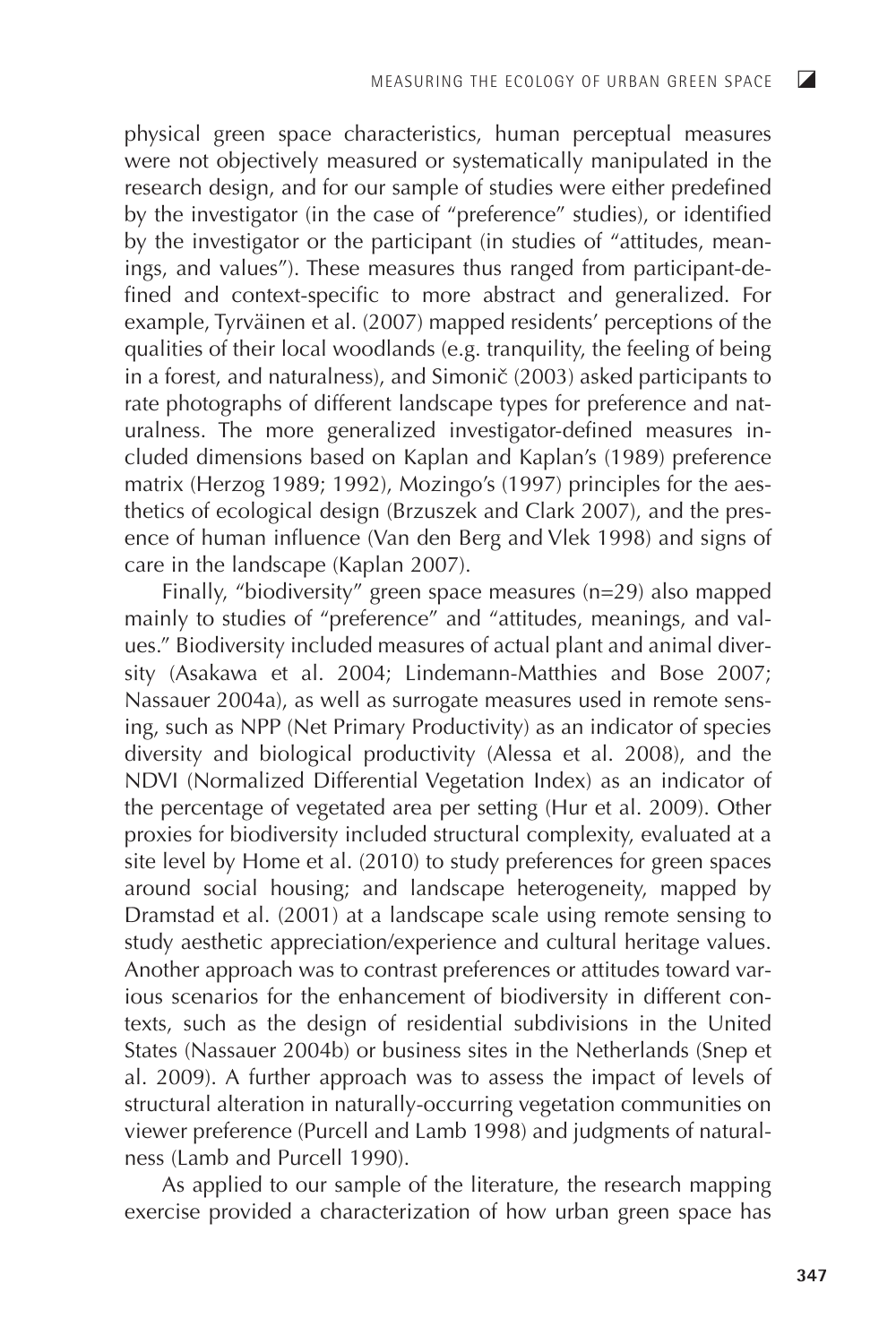physical green space characteristics, human perceptual measures were not objectively measured or systematically manipulated in the research design, and for our sample of studies were either predefined by the investigator (in the case of "preference" studies), or identified by the investigator or the participant (in studies of "attitudes, meanings, and values"). These measures thus ranged from participant-defined and context-specific to more abstract and generalized. For example, Tyrväinen et al. (2007) mapped residents' perceptions of the qualities of their local woodlands (e.g. tranquility, the feeling of being  $\overline{a}$  in a forest, and naturalness), and Simonič (2003) asked participants to rate photographs of different landscape types for preference and naturalness. The more generalized investigator-defined measures included dimensions based on Kaplan and Kaplan's (1989) preference matrix (Herzog 1989; 1992), Mozingo's (1997) principles for the aesthetics of ecological design (Brzuszek and Clark 2007), and the presence of human influence (Van den Berg and Vlek 1998) and signs of care in the landscape (Kaplan 2007).

Finally, "biodiversity" green space measures (n=29) also mapped mainly to studies of "preference" and "attitudes, meanings, and values." Biodiversity included measures of actual plant and animal diversity (Asakawa et al. 2004; Lindemann-Matthies and Bose 2007: Nassauer 2004a), as well as surrogate measures used in remote sensing, such as NPP (Net Primary Productivity) as an indicator of species diversity and biological productivity (Alessa et al. 2008), and the NDVI (Normalized Differential Vegetation Index) as an indicator of the percentage of vegetated area per setting (Hur et al. 2009). Other proxies for biodiversity included structural complexity, evaluated at a site level by Home et al. (2010) to study preferences for green spaces around social housing; and landscape heterogeneity, mapped by Dramstad et al. (2001) at a landscape scale using remote sensing to study aesthetic appreciation/experience and cultural heritage values. Another approach was to contrast preferences or attitudes toward various scenarios for the enhancement of biodiversity in different contexts, such as the design of residential subdivisions in the United States (Nassauer 2004b) or business sites in the Netherlands (Snep et al. 2009). A further approach was to assess the impact of levels of structural alteration in naturally-occurring vegetation communities on viewer preference (Purcell and Lamb 1998) and judgments of naturalness (Lamb and Purcell 1990).

As applied to our sample of the literature, the research mapping exercise provided a characterization of how urban green space has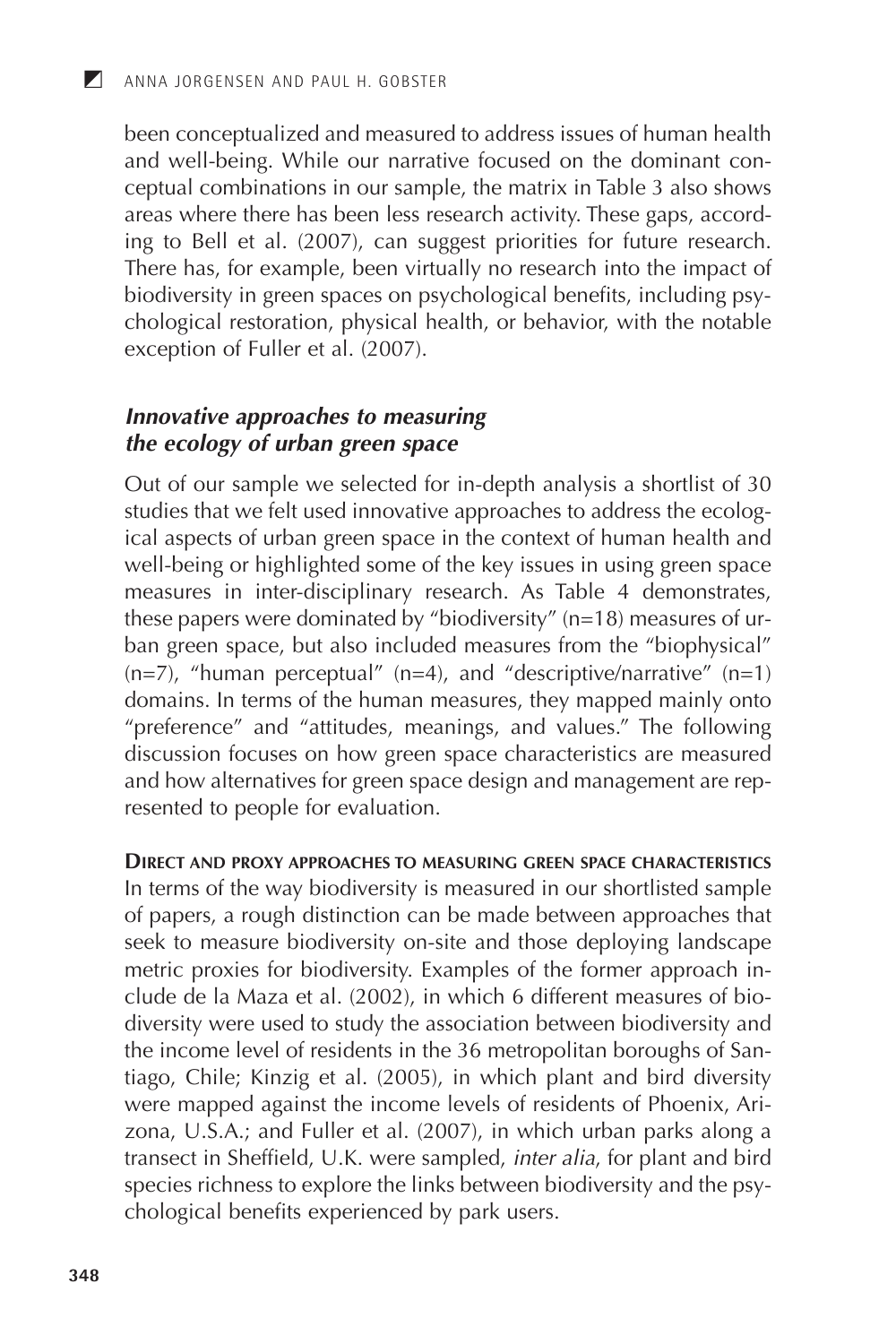been conceptualized and measured to address issues of human health and well-being. While our narrative focused on the dominant conceptual combinations in our sample, the matrix in Table 3 also shows<br>areas where there has been less research activity. These gaps, accordareas where there has been less research activity. These gaps, according to Bell et al. (2007), can suggest priorities for future research.<br>There has, for example, been virtually no research into the impact of biodiversity

## Innovative approaches to measuring the ecology of urban green space

Out of our sample we selected for in-depth analysis a shortlist of 30<br>studies that we felt used innovative approaches to address the ecolog-<br>ical aspects of urban green space in the context of human health and<br>well-being and how alternatives for green space design and management are represented to people for evaluation.

**DIRECT AND PROXY APPROACHES TO MEASURING GREEN SPACE CHARACTERISTICS** 

In terms of the way biodiversity is measured in our shortlisted sample<br>of papers, a rough distinction can be made between approaches that seek to measure biodiversity on-site and those deploying landscape<br>metric proxies for biodiversity. Examples of the former approach include de la Maza et al.  $(2002)$ , in which 6 different measures of biodiversity were used to study the association between biodiversity and<br>the income level of residents in the 36 metropolitan boroughs of San-<br>tiago, Chile; Kinzig et al. (2005), in which plant and bird diversity tiago, Cine, Kinzig et al. (2005), in which plant and bild diversity<br>were mapped against the income levels of residents of Phoenix, Ari-<br>zona, U.S.A.; and Fuller et al. (2007), in which urban parks along a<br>transect in Shef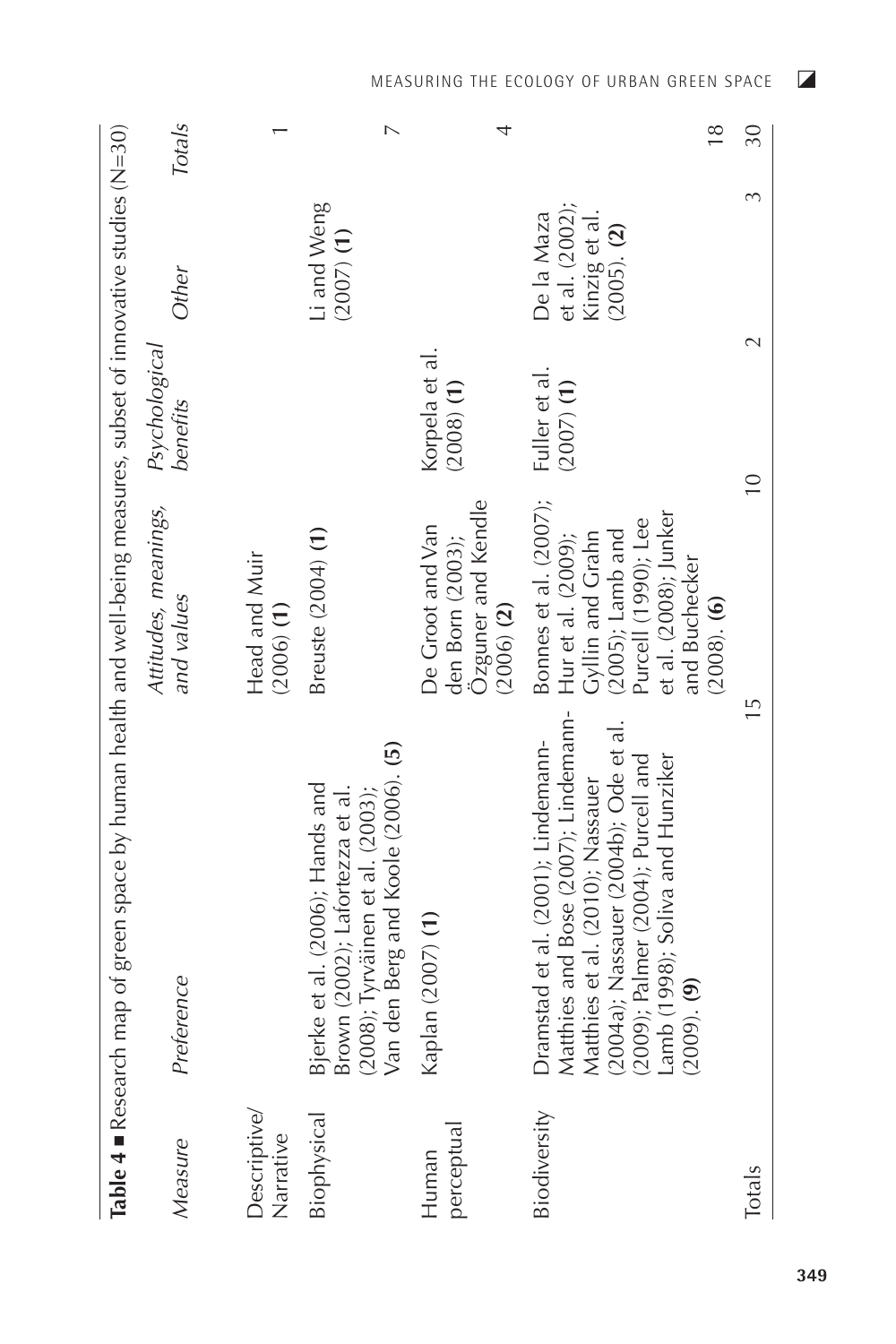|                           | Table 4 . Research map of green space by human health and well-being measures, subset of innovative studies (N=30)                                                                                                                                    |                                                                                                                                                                        |                                |                                                                   |                |
|---------------------------|-------------------------------------------------------------------------------------------------------------------------------------------------------------------------------------------------------------------------------------------------------|------------------------------------------------------------------------------------------------------------------------------------------------------------------------|--------------------------------|-------------------------------------------------------------------|----------------|
| Measure                   | Preference                                                                                                                                                                                                                                            | Attitudes, meanings,<br>and values                                                                                                                                     | Psychological<br>benefits      | Other                                                             | Totals         |
| Descriptive/<br>Narrative |                                                                                                                                                                                                                                                       | Head and Muir<br>$(2006)$ (1)                                                                                                                                          |                                |                                                                   |                |
| Biophysical               | Van den Berg and Koole (2006). (5)<br>Bjerke et al. (2006); Hands and<br>Brown (2002); Lafortezza et al.<br>(2008); Tyrväinen et al. (2003);                                                                                                          | Breuste (2004) (1)                                                                                                                                                     |                                | Li and Weng<br>$(2007)$ (1)                                       |                |
| perceptua<br>Human        | Kaplan (2007) (1)                                                                                                                                                                                                                                     | Ozguner and Kendle<br>De Groot and Van<br>den Born (2003);<br>$(2006)$ $(2)$                                                                                           | Korpela et al.<br>$(2008)$ (1) |                                                                   |                |
| Biodiversity              | Matthies and Bose (2007); Lindemann-<br>Matthies et al. (2010); Nassauer<br>(2004a); Nassauer (2004b); Ode et al.<br>(2009); Palmer (2004); Purcell and<br>Dramstad et al. (2001); Lindemann-<br>Lamb (1998); Soliva and Hunziker<br>$(2009)$ . $(9)$ | Bonnes et al. (2007);<br>et al. (2008); Junker<br>(2005); Lamb and<br>Purcell (1990); Lee<br>Gyllin and Grahn<br>Hur et al. (2009);<br>and Buchecker<br>$(2008)$ . (6) | Fuller et al.<br>$(2007)$ (1)  | et al. (2002);<br>Kinzig et al.<br>De la Maza<br>$(2005)$ . $(2)$ | $\frac{8}{18}$ |
| Totals                    | $\overline{1}$                                                                                                                                                                                                                                        |                                                                                                                                                                        | $\sim$<br>$\overline{10}$      |                                                                   | 30             |

MEASURING THE ECOLOGY OF URBAN GREEN SPACE

349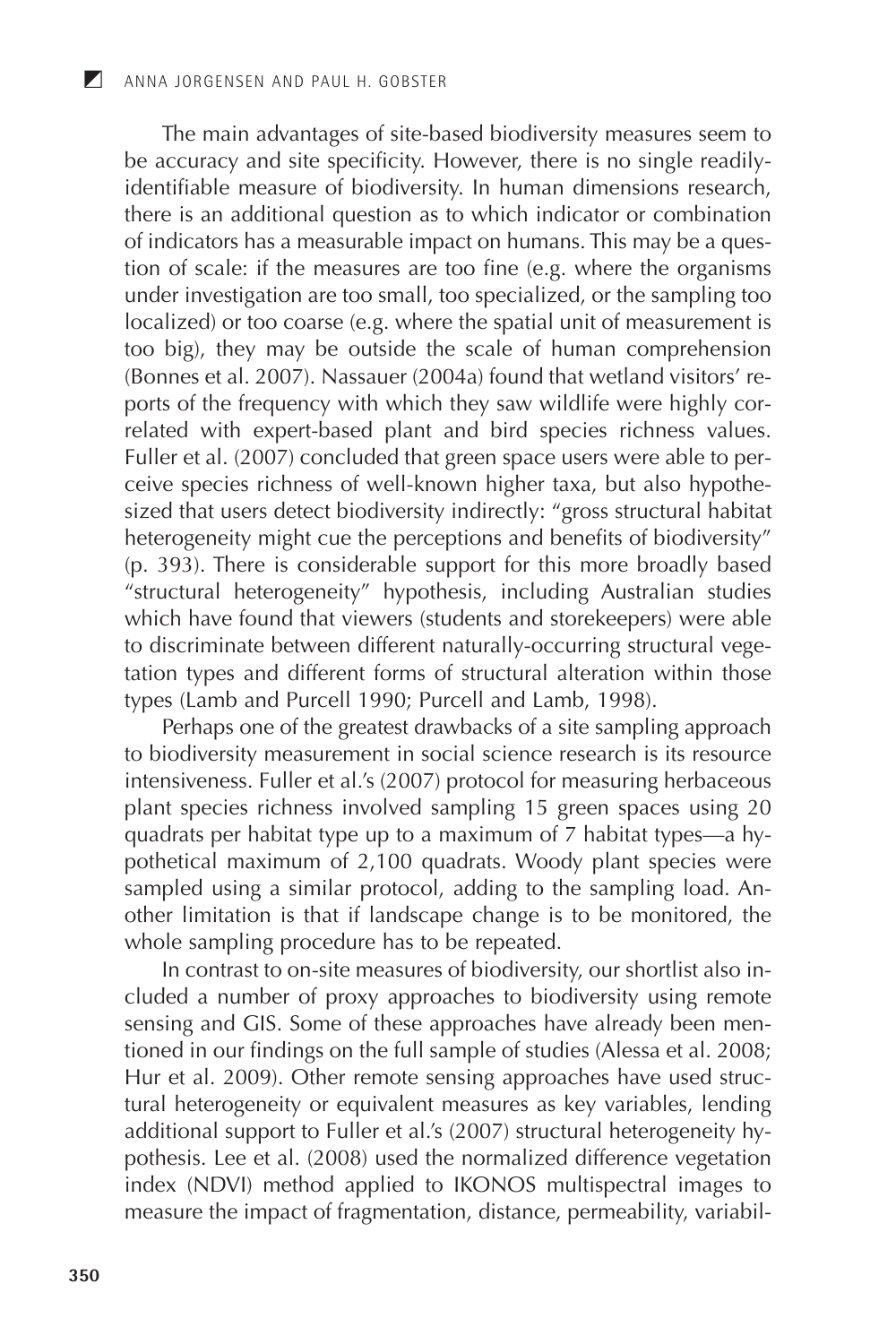The main advantages of site-based biodiversity measures seem to<br>be accuracy and site specificity. However, there is no single readily-<br>identifiable measure of biodiversity. In human dimensions research,<br>there is an additio there is an additional question as to which indicator or combination<br>of indicators has a measurable impact on humans. This may be a ques-<br>tion of scale: if the measures are too fine (e.g. where the organisms<br>under investig ports of the frequency with which they saw wildlife were highly correlated with expert-based plant and bird species richness values.<br>Fuller et al. (2007) concluded that green space users were able to per-Fuller et al. (2007) concluded that green space users were able to per-<br>ceive species richness of well-known higher taxa, but also hypothe-<br>sized that users detect biodiversity indirectly: "gross structural habitat<br>hetero

types and different forms of structural different within those<br>types (Lamb and Purcell 1990; Purcell and Lamb, 1998).<br>Perhaps one of the greatest drawbacks of a site sampling approach<br>to biodiversity measurement in social to biodiversity measurement in social science research is its resource<br>intensiveness. Fuller et al.'s (2007) protocol for measuring herbaceous<br>plant species richness involved sampling 15 green spaces using 20<br>quadrats per

other limitation is that it landscape change is to be monitored, the<br>whole sampling procedure has to be repeated.<br>In contrast to on-site measures of biodiversity, our shortlist also in-<br>cluded a number of proxy approaches That et al. 2009). Other ferriote sensing approaches have used structural heterogeneity or equivalent measures as key variables, lending additional support to Fuller et al.'s (2007) structural heterogeneity hypothesis. Lee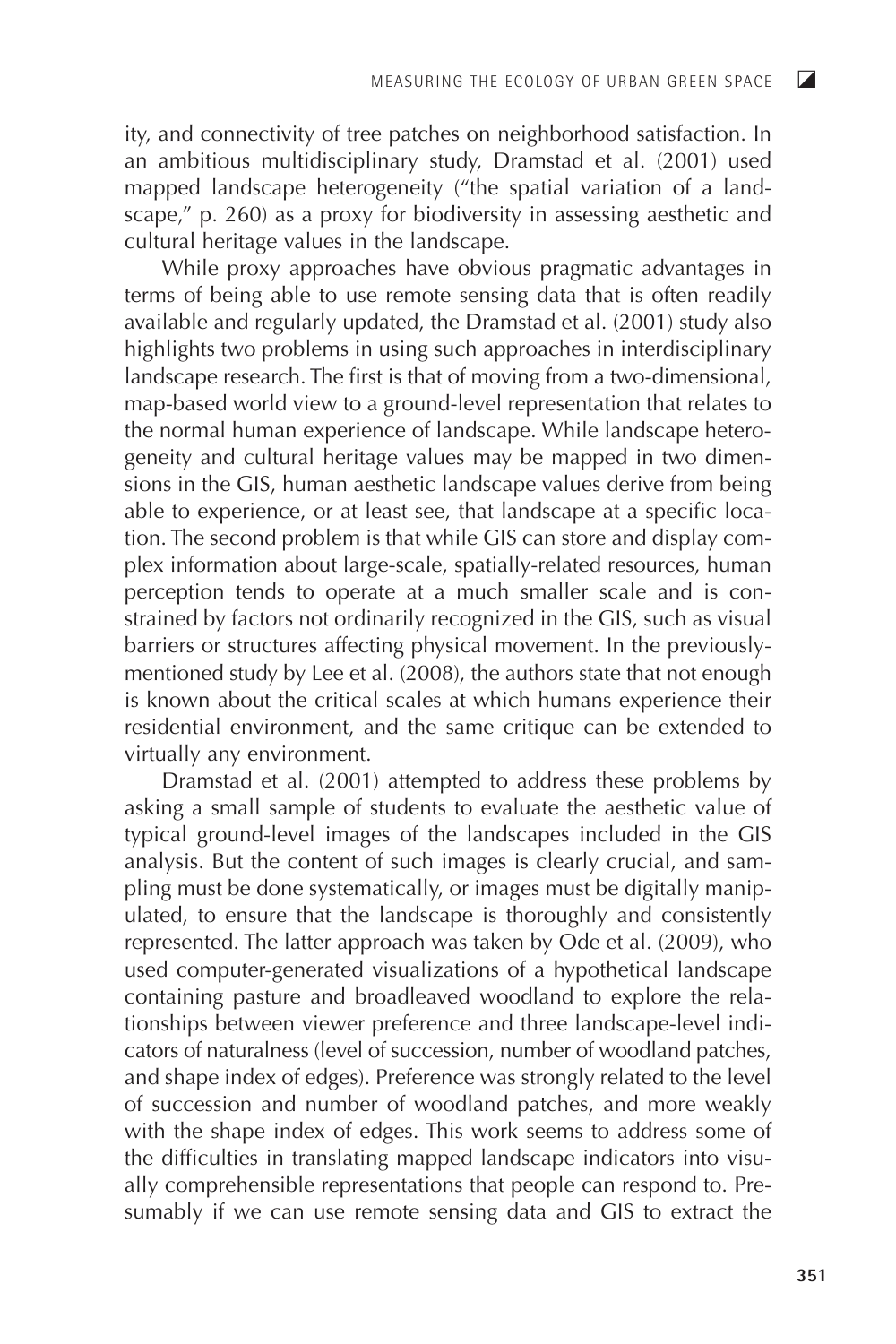$\overline{\mathbf{z}}$ 

ity, and connectivity of tree patches on neighborhood satisfaction. In an ambitious multidisciplinary study, Dramstad et al. (2001) used mapped landscape heterogeneity ("the spatial variation of a landscape," p. 260) as a proxy for biodiversity in assessing aesthetic and cultural heritage values in the landscape.

While proxy approaches have obvious pragmatic advantages in terms of being able to use remote sensing data that is often readily available and regularly updated, the Dramstad et al. (2001) study also highlights two problems in using such approaches in interdisciplinary  $\alpha$  landscape research. The first is that of moving from a two-dimensional. map-based world view to a ground-level representation that relates to the normal human experience of landscape. While landscape heterogeneity and cultural heritage values may be mapped in two dimen- $\overline{\text{sions}}$  in the GIS, human aesthetic landscape values derive from being able to experience, or at least see, that landscape at a specific location. The second problem is that while GIS can store and display complex information about large-scale, spatially-related resources, human perception tends to operate at a much smaller scale and is constrained by factors not ordinarily recognized in the GIS, such as visual barriers or structures affecting physical movement. In the previouslymentioned study by Lee et al. (2008), the authors state that not enough is known about the critical scales at which humans experience their residential environment, and the same critique can be extended to virtually any environment.

Dramstad et al. (2001) attempted to address these problems by asking a small sample of students to evaluate the aesthetic value of typical ground-level images of the landscapes included in the GIS analysis. But the content of such images is clearly crucial, and sampling must be done systematically, or images must be digitally manipulated, to ensure that the landscape is thoroughly and consistently represented. The latter approach was taken by Ode et al. (2009), who used computer-generated visualizations of a hypothetical landscape containing pasture and broadleaved woodland to explore the relationships between viewer preference and three landscape-level indicators of naturalness (level of succession, number of woodland patches, and shape index of edges). Preference was strongly related to the level of succession and number of woodland patches, and more weakly with the shape index of edges. This work seems to address some of the difficulties in translating mapped landscape indicators into visually comprehensible representations that people can respond to. Presumably if we can use remote sensing data and GIS to extract the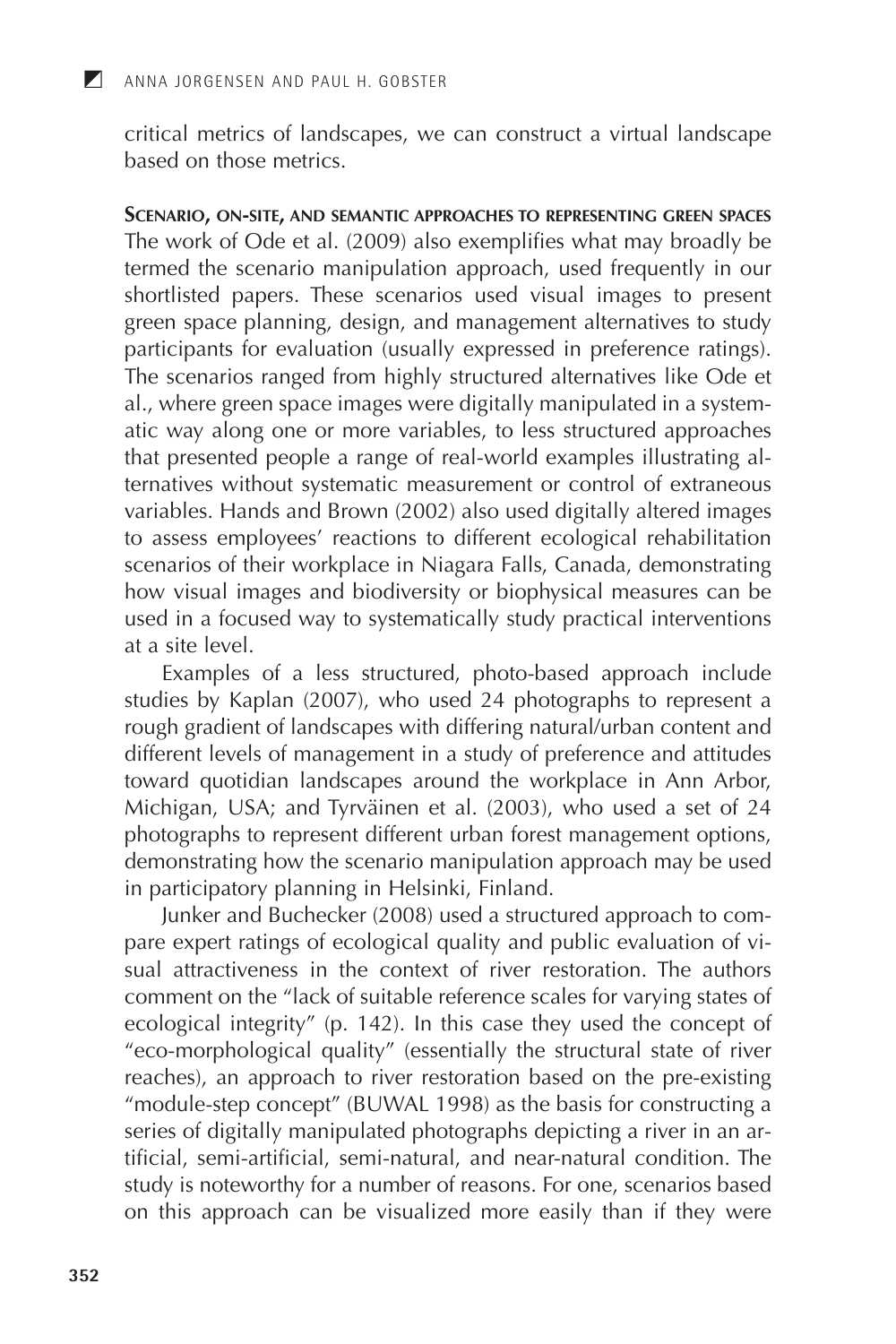critical metrics of landscapes, we can construct a virtual landscape based on those metrics.

SCENARIO, ON-SITE, AND SEMANTIC APPROACHES TO REPRESENTING GREEN SPACES The work of Ode et al. (2009) also exemplifies what may broadly be termed the scenario manipulation approach, used frequently in our shortlisted papers. These scenarios used visual images to present green space planning, design, and management alternatives to study<br>participants for evaluation (usually expressed in preference ratings).<br>The scenarios ranged from highly structured alternatives like Ode et ally structured and antenatives the out of<br>all, where green space images were digitally manipulated in a system-<br>atic way along one or more variables, to less structured approaches<br>that presented people a range of real-wor ternatives without systematic measurement or control of extraneous<br>variables. Hands and Brown (2002) also used digitally altered images<br>to assess employees' reactions to different ecological rehabilitation scenarios of their workplace in Niagara Falls, Canada, demonstrating<br>how visual images and biodiversity or biophysical measures can be used in a focused way to systematically study practical interventions at a site level.

Examples of a less structured, photo-based approach include studies by Kaplan (2007), who used 24 photographs to represent a rough gradient of landscapes with differing natural/urban content and different levels of management in a study of preference and attitudes toward quotidian landscapes around the workplace in Ann Arbor,<br>Michigan, USA; and Tyrväinen et al. (2003), who used a set of 24<br>photographs to represent different urban forest management options, demonstrating how the scenario manipulation approach may be used<br>in participatory planning in Helsinki, Finland.

Junker and Buchecker (2008) used a structured approach to compare expert ratings of ecological quality and public evaluation of visual attractiveness in the context of river restoration. The authors comment on the "lack of suitable reference scales for varying states of comment on the Tack of suitable reference scales for varying states of<br>ecological integrity" (p. 142). In this case they used the concept of<br>"eco-morphological quality" (essentially the structural state of river<br>reaches), study is noteworthy for a number of reasons. For one, scenarios based on this approach can be visualized more easily than if they were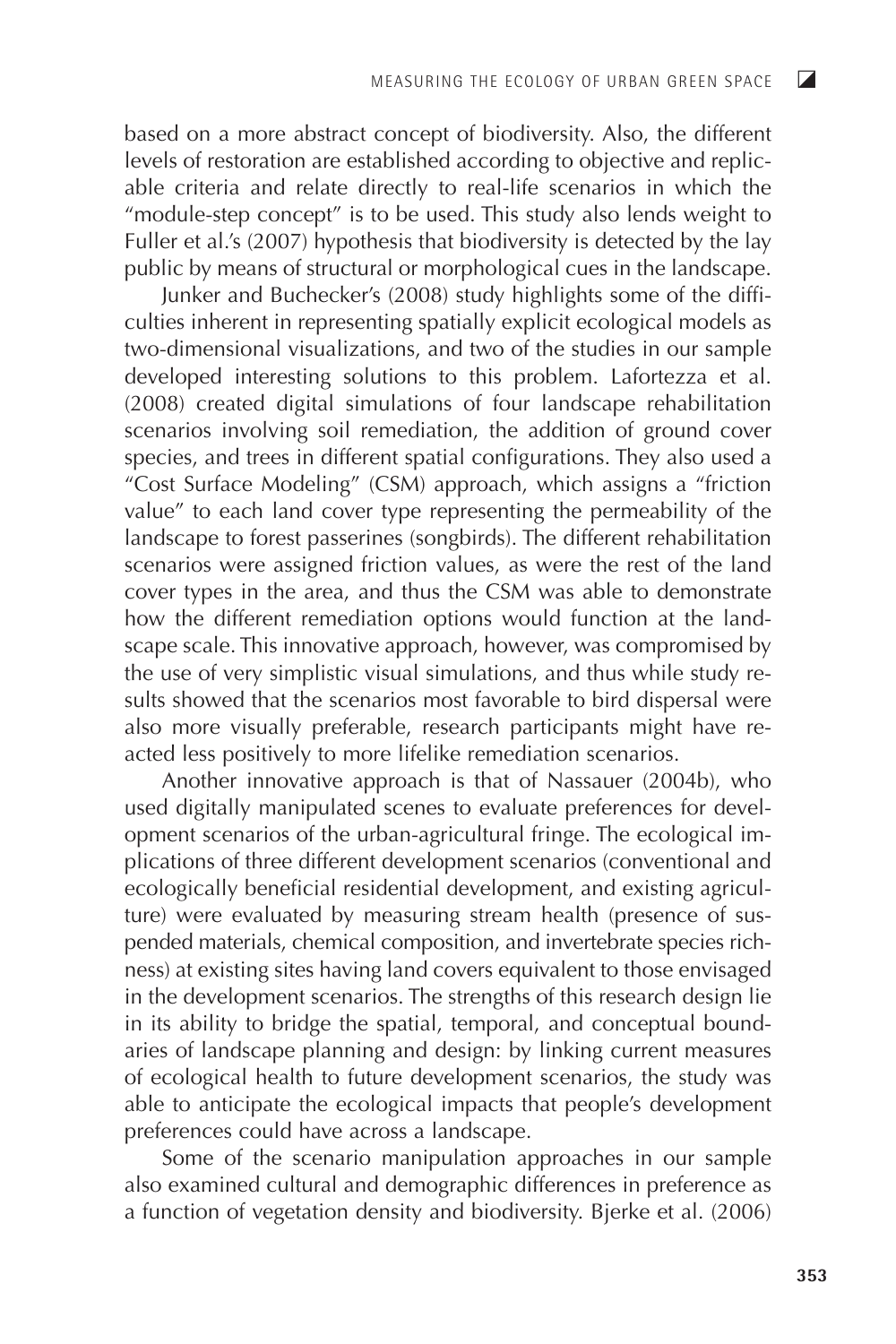based on a more abstract concept of biodiversity. Also, the different levels of restoration are established according to objective and replicable criteria and relate directly to real-life scenarios in which the "module-step concept" is to be used. This study also lends weight to Fuller et al.'s (2007) hypothesis that biodiversity is detected by the lay public by means of structural or morphological cues in the landscape.

Junker and Buchecker's (2008) study highlights some of the difficulties inherent in representing spatially explicit ecological models as two-dimensional visualizations, and two of the studies in our sample developed interesting solutions to this problem. Lafortezza et al. (2008) created digital simulations of four landscape rehabilitation scenarios involving soil remediation, the addition of ground cover species, and trees in different spatial configurations. They also used a "Cost Surface Modeling" (CSM) approach, which assigns a "friction value" to each land cover type representing the permeability of the landscape to forest passerines (songbirds). The different rehabilitation scenarios were assigned friction values, as were the rest of the land cover types in the area, and thus the CSM was able to demonstrate how the different remediation options would function at the landscape scale. This innovative approach, however, was compromised by the use of very simplistic visual simulations, and thus while study results showed that the scenarios most favorable to bird dispersal were also more visually preferable, research participants might have reacted less positively to more lifelike remediation scenarios.

Another innovative approach is that of Nassauer (2004b), who used digitally manipulated scenes to evaluate preferences for development scenarios of the urban-agricultural fringe. The ecological implications of three different development scenarios (conventional and ecologically beneficial residential development, and existing agriculture) were evaluated by measuring stream health (presence of suspended materials, chemical composition, and invertebrate species richness) at existing sites having land covers equivalent to those envisaged in the development scenarios. The strengths of this research design lie in its ability to bridge the spatial, temporal, and conceptual boundaries of landscape planning and design: by linking current measures of ecological health to future development scenarios, the study was able to anticipate the ecological impacts that people's development preferences could have across a landscape.

Some of the scenario manipulation approaches in our sample also examined cultural and demographic differences in preference as a function of vegetation density and biodiversity. Bjerke et al. (2006)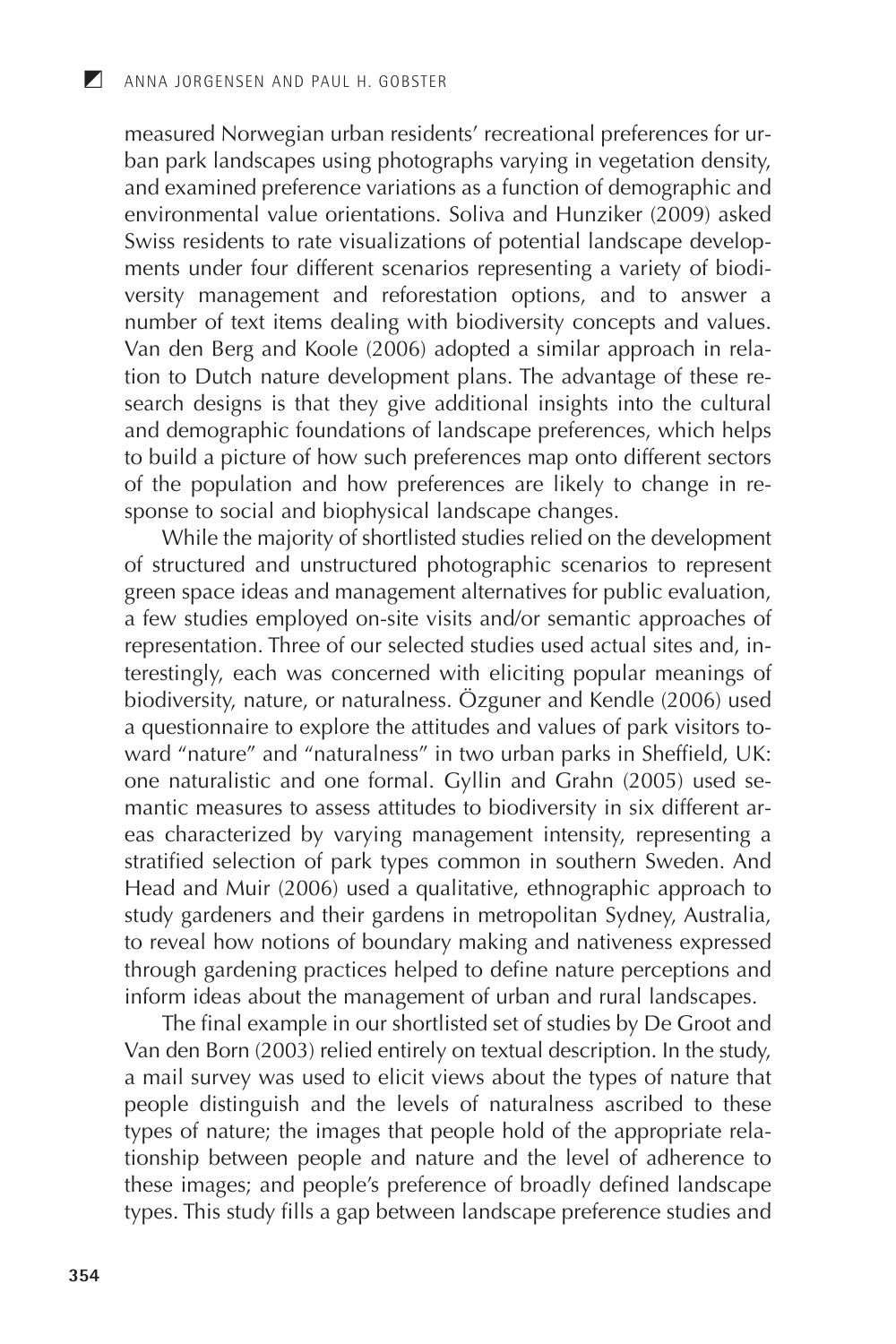measured Norwegian urban residents' recreational preferences for urban park landscapes using photographs varying in vegetation density,<br>and examined preference variations as a function of demographic and environmental value orientations. Soliva and Hunziker (2009) asked Swiss residents to rate visualizations: some and Tranzmer (2000) done<br>Swiss residents to rate visualizations of potential landscape develop-<br>ments under four different scenarios representing a variety of biodi-<br>versity man number of text items dealing with biodiversity concepts and values.<br>Van den Berg and Koole (2006) adopted a similar approach in relation to Dutch nature development plans. The advantage of these research designs is that they give additional insights into the cultural<br>and demographic foundations of landscape preferences, which helps<br>to build a picture of how such preferences map onto different sectors of the population and how preferences are likely to change in response to social and biophysical landscape changes.<br>While the majority of shortlisted studies relied on the development

of structured and unstructured photographic scenarios to represent<br>green space ideas and management alternatives for public evaluation, a few studies employed on-site visits and/or semantic approaches of<br>representation. Three of our selected studies used actual sites and, interestingly, each was concerned with eliciting popular meanings of biodiversity, nature, or naturalness. Özguner and Kendle (2006) used<br>a questionnaire to explore the attitudes and values of park visitors to-<br>ward "nature" and "naturalness" in two urban parks in Sheffield, UK: one naturalistic and one formal. Gyllin and Grahn (2005) used se-<br>mantic measures to assess attitudes to biodiversity in six different ar-<br>eas characterized by varying management intensity, representing a stratified selection of park types common in southern Sweden. And Stratified selection of park types common in southern sweden. And<br>Head and Muir (2006) used a qualitative, ethnographic approach to<br>study gardeners and their gardens in metropolitan Sydney, Australia,<br>to reveal how notions

The final example in our shortlisted set of studies by De Groot and Van den Born (2003) relied entirely on textual description. In the study,<br>a mail survey was used to elicit views about the types of nature that a man survey was used to encit views about the types of nature that<br>people distinguish and the levels of naturalness ascribed to these<br>types of nature; the images that people hold of the appropriate rela-<br>tionship between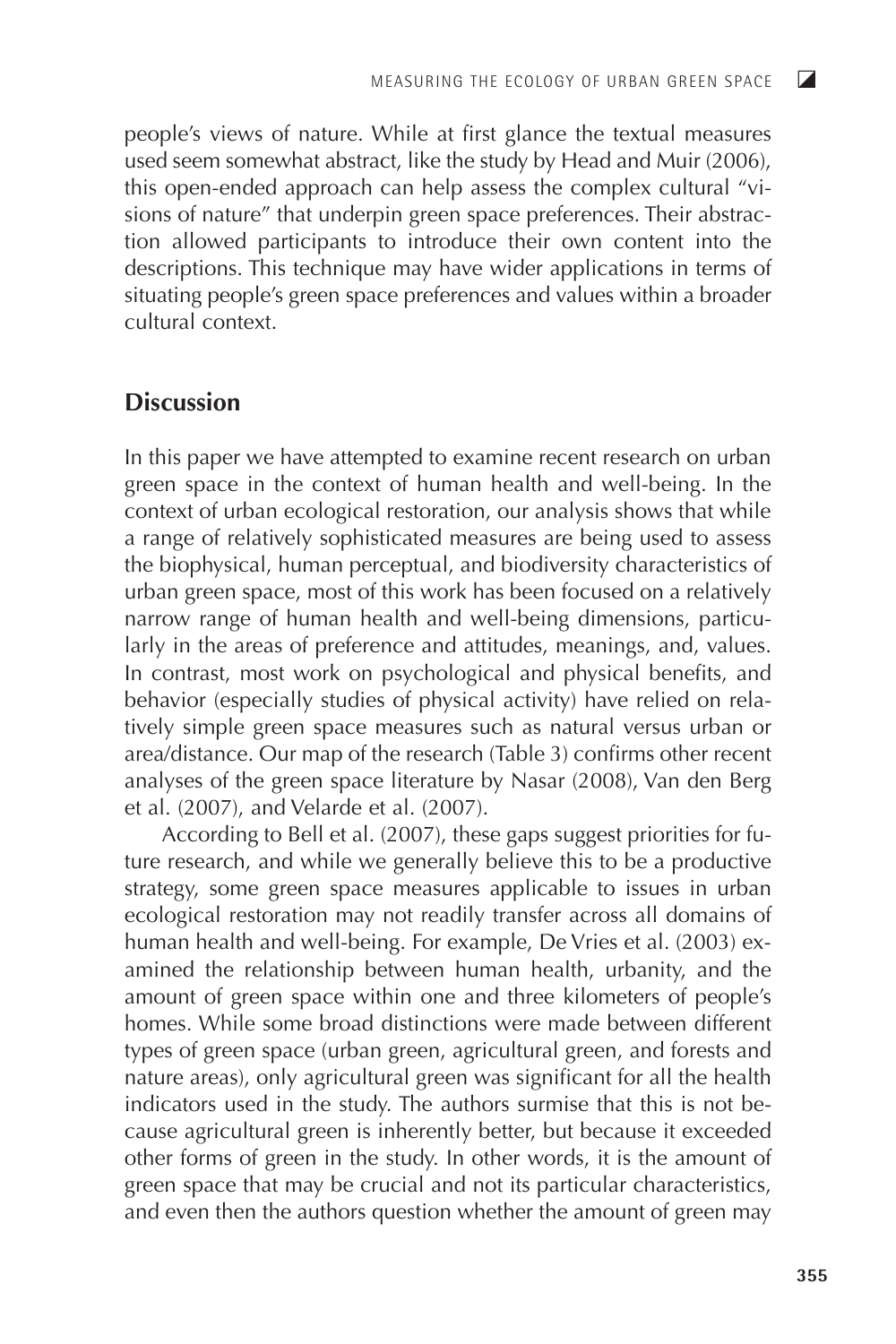people's views of nature. While at first glance the textual measures used seem somewhat abstract, like the study by Head and Muir (2006), this open-ended approach can help assess the complex cultural "visions of nature" that underpin green space preferences. Their abstraction allowed participants to introduce their own content into the descriptions. This technique may have wider applications in terms of situating people's green space preferences and values within a broader cultural context.

## **Discussion**

In this paper we have attempted to examine recent research on urban green space in the context of human health and well-being. In the context of urban ecological restoration, our analysis shows that while a range of relatively sophisticated measures are being used to assess the biophysical, human perceptual, and biodiversity characteristics of urban green space, most of this work has been focused on a relatively narrow range of human health and well-being dimensions, particularly in the areas of preference and attitudes, meanings, and, values. In contrast, most work on psychological and physical benefits, and behavior (especially studies of physical activity) have relied on relatively simple green space measures such as natural versus urban or area/distance. Our map of the research (Table 3) confirms other recent analyses of the green space literature by Nasar (2008), Van den Berg et al. (2007), and Velarde et al. (2007).

According to Bell et al. (2007), these gaps suggest priorities for future research, and while we generally believe this to be a productive strategy, some green space measures applicable to issues in urban ecological restoration may not readily transfer across all domains of human health and well-being. For example, De Vries et al. (2003) examined the relationship between human health, urbanity, and the amount of green space within one and three kilometers of people's homes. While some broad distinctions were made between different types of green space (urban green, agricultural green, and forests and nature areas), only agricultural green was significant for all the health indicators used in the study. The authors surmise that this is not because agricultural green is inherently better, but because it exceeded other forms of green in the study. In other words, it is the amount of green space that may be crucial and not its particular characteristics, and even then the authors question whether the amount of green may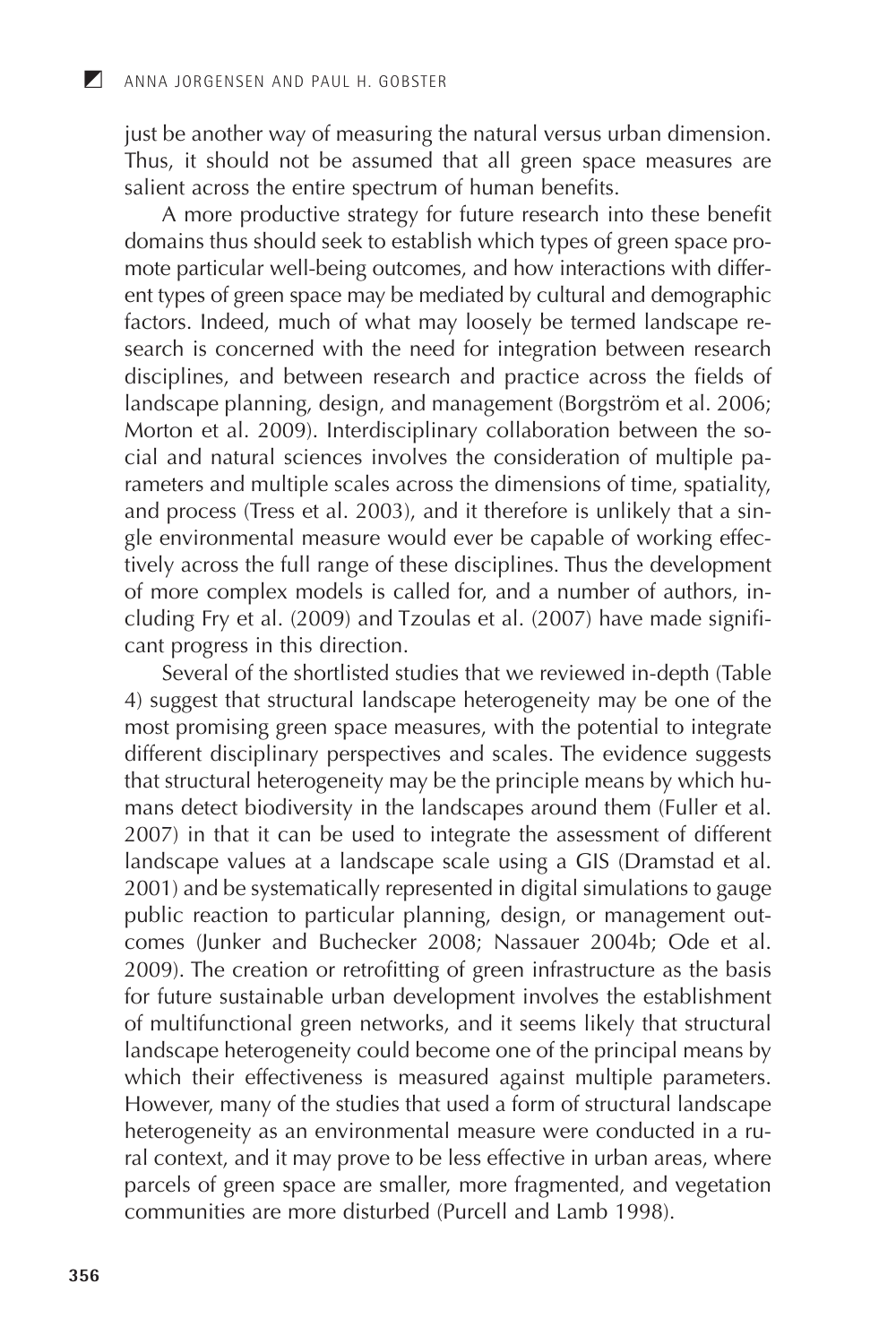just be another way of measuring the natural versus urban dimension. Thus, it should not be assumed that all green space measures are salient across the entire spectrum of human benefits.

A more productive strategy for future research into these benefit domains thus should seek to establish which types of green space promote particular well-being outcomes, and how interactions with different types of green space may be mediated by cultural and demographic factors. Indeed, much of what may loosely be termed landscape research is concerned with the need for integration between research disciplines, and between research and practice across the fields of landscape planning, design, and management (Borgström et al. 2006; Morton et al. 2009). Interdisciplinary collaboration between the so $cial$  and natural sciences involves the consideration of multiple parameters and multiple scales across the dimensions of time, spatiality, and process (Tress et al. 2003), and it therefore is unlikely that a single environmental measure would ever be capable of working effectively across the full range of these disciplines. Thus the development<br>of more complex models is called for, and a number of authors, including Fry et al. (2009) and Tzoulas et al. (2007) have made significant progress in this direction.

Several of the shortlisted studies that we reviewed in-depth (Table 4) suggest that structural landscape heterogeneity may be one of the most promising green space measures, with the potential to integrate different disciplinary perspectives and scales. The evidence suggests that structural heterogeneity may be the principle means by which humans detect biodiversity in the landscapes around them (Fuller et al. 2007) in that it can be used to integrate the assessment of different landscape values at a landscape scale using a GIS (Dramstad et al. 2001) and be systematically represented in digital simulations to gauge public reaction to particular planning, design, or management outcomes (Junker and Buchecker 2008; Nassauer 2004b; Ode et al. 2009). The creation or retrofitting of green infrastructure as the basis for future sustainable urban development involves the establishment of multifunctional green networks, and it seems likely that structural landscape heterogeneity could become one of the principal means by which their effectiveness is measured against multiple parameters. However, many of the studies that used a form of structural landscape heterogeneity as an environmental measure were conducted in a ru-<br>ral context, and it may prove to be less effective in urban areas, where parcels of green space are smaller, more fragmented, and vegetation communities are more disturbed (Purcell and Lamb 1998).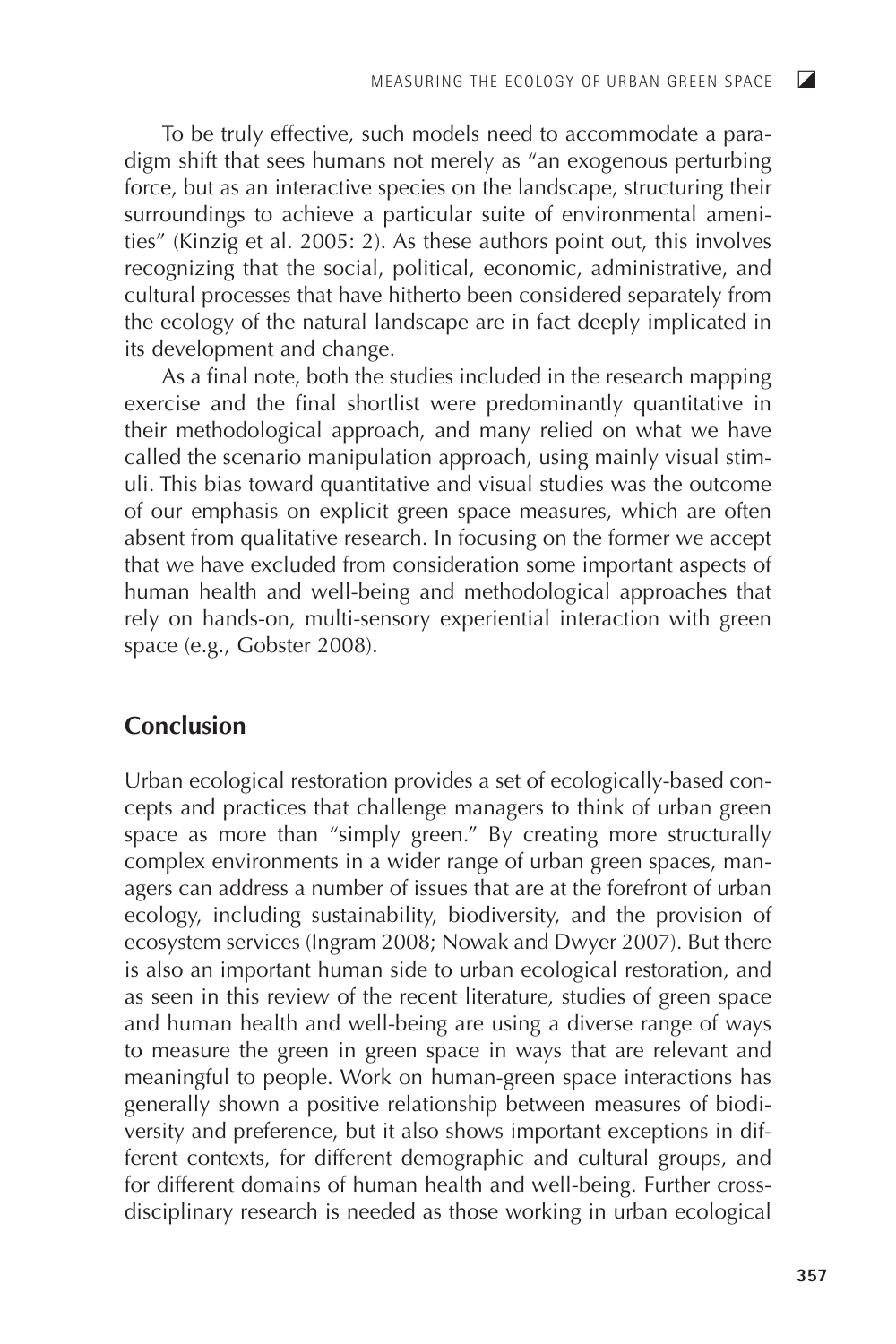To be truly effective, such models need to accommodate a paradigm shift that sees humans not merely as "an exogenous perturbing force, but as an interactive species on the landscape, structuring their surroundings to achieve a particular suite of environmental amenities" (Kinzig et al. 2005: 2). As these authors point out, this involves recognizing that the social, political, economic, administrative, and cultural processes that have hitherto been considered separately from the ecology of the natural landscape are in fact deeply implicated in its development and change.

As a final note, both the studies included in the research mapping exercise and the final shortlist were predominantly quantitative in their methodological approach, and many relied on what we have called the scenario manipulation approach, using mainly visual stimuli. This bias toward quantitative and visual studies was the outcome of our emphasis on explicit green space measures, which are often absent from qualitative research. In focusing on the former we accept that we have excluded from consideration some important aspects of human health and well-being and methodological approaches that rely on hands-on, multi-sensory experiential interaction with green space (e.g., Gobster 2008).

## Conclusion

Urban ecological restoration provides a set of ecologically-based concepts and practices that challenge managers to think of urban green space as more than "simply green." By creating more structurally complex environments in a wider range of urban green spaces, managers can address a number of issues that are at the forefront of urban ecology, including sustainability, biodiversity, and the provision of ecosystem services (Ingram 2008; Nowak and Dwyer 2007). But there is also an important human side to urban ecological restoration, and as seen in this review of the recent literature, studies of green space and human health and well-being are using a diverse range of ways to measure the green in green space in ways that are relevant and meaningful to people. Work on human-green space interactions has generally shown a positive relationship between measures of biodiversity and preference, but it also shows important exceptions in different contexts, for different demographic and cultural groups, and for different domains of human health and well-being. Further crossdisciplinary research is needed as those working in urban ecological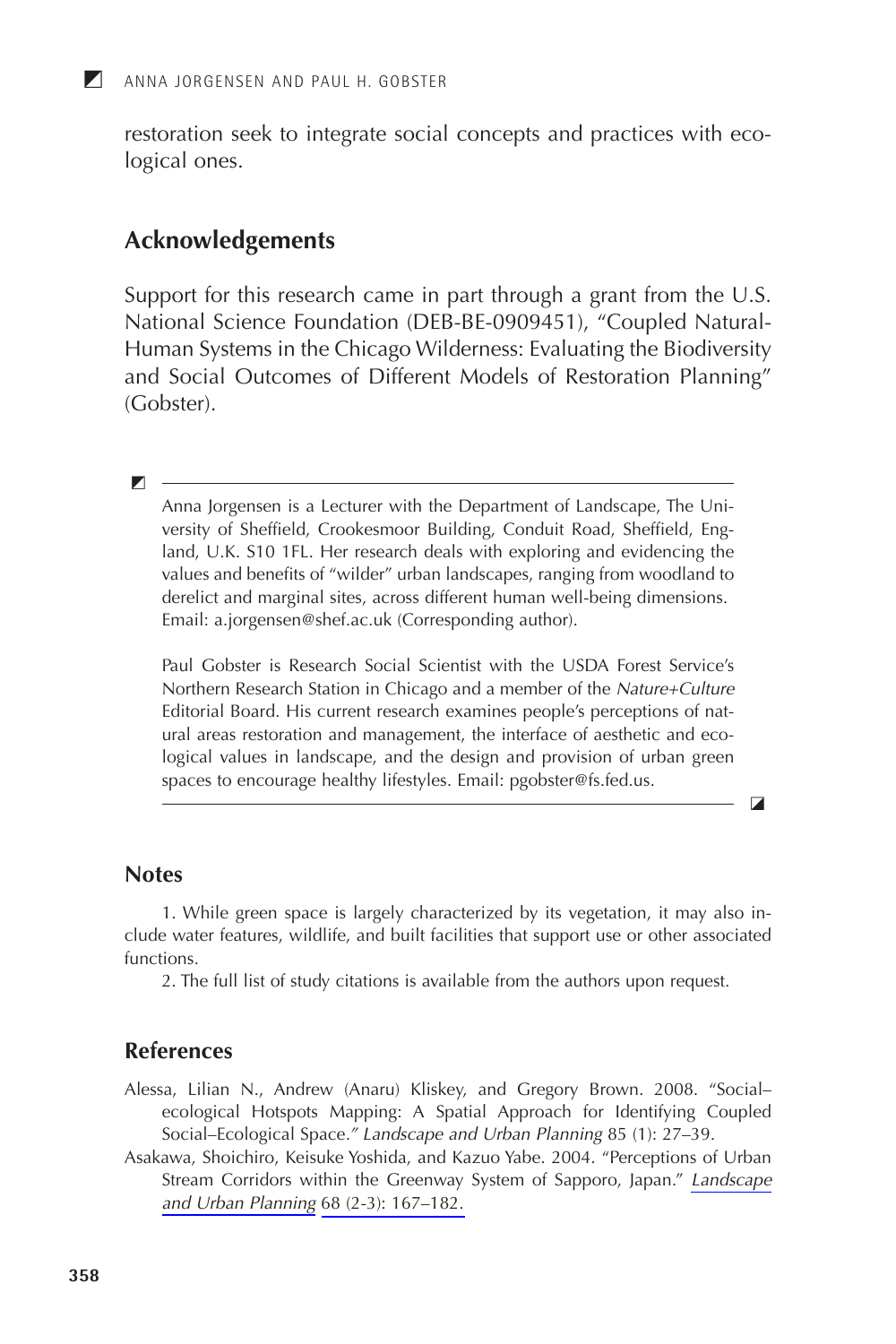restoration seek to integrate social concepts and practices with ecological ones.

#### **Acknowledgements**

Support for this research came in part through a grant from the  $U.S.$ National Science Foundation (DEB-BE-0909451), "Coupled Natural-Human Systems in the Chicago Wilderness: Evaluating the Biodiversity and Social Outcomes of Different Models of Restoration Planning" (Gobster).

 $\blacksquare$ 

 $\blacksquare$ 

Anna Jorgensen is a Lecturer with the Department of Landscape, The University of Sheffield, Crookesmoor Building, Conduit Road, Sheffield, England, U.K. S10 1FL. Her research deals with exploring and evidencing the values and benefits of "wilder" urban landscapes, ranging from woodland to derelict and marginal sites, across different human well-being dimensions. Email: a.jorgensen@shef.ac.uk (Corresponding author).

Paul Gobster is Research Social Scientist with the USDA Forest Service's Northern Research Station in Chicago and a member of the Nature+Culture Editorial Board. His current research examines people's perceptions of natural areas restoration and management, the interface of aesthetic and ecological values in landscape, and the design and provision of urban green spaces to encourage healthy lifestyles. Email: pgobster@fs.fed.us.

 $\blacksquare$ 

#### **Notes**

1. While green space is largely characterized by its vegetation, it may also include water features, wildlife, and built facilities that support use or other associated functions.

2. The full list of study citations is available from the authors upon request.

#### **References**

- Alessa, Lilian N., Andrew (Anaru) Kliskey, and Gregory Brown. 2008. "Socialecological Hotspots Mapping: A Spatial Approach for Identifying Coupled Social-Ecological Space." Landscape and Urban Planning 85 (1): 27-39.
- Asakawa, Shoichiro, Keisuke Yoshida, and Kazuo Yabe. 2004. "Perceptions of Urban Stream Corridors within the Greenway System of Sapporo, Japan." Landscape and Urban Planning 68 (2-3): 167-182.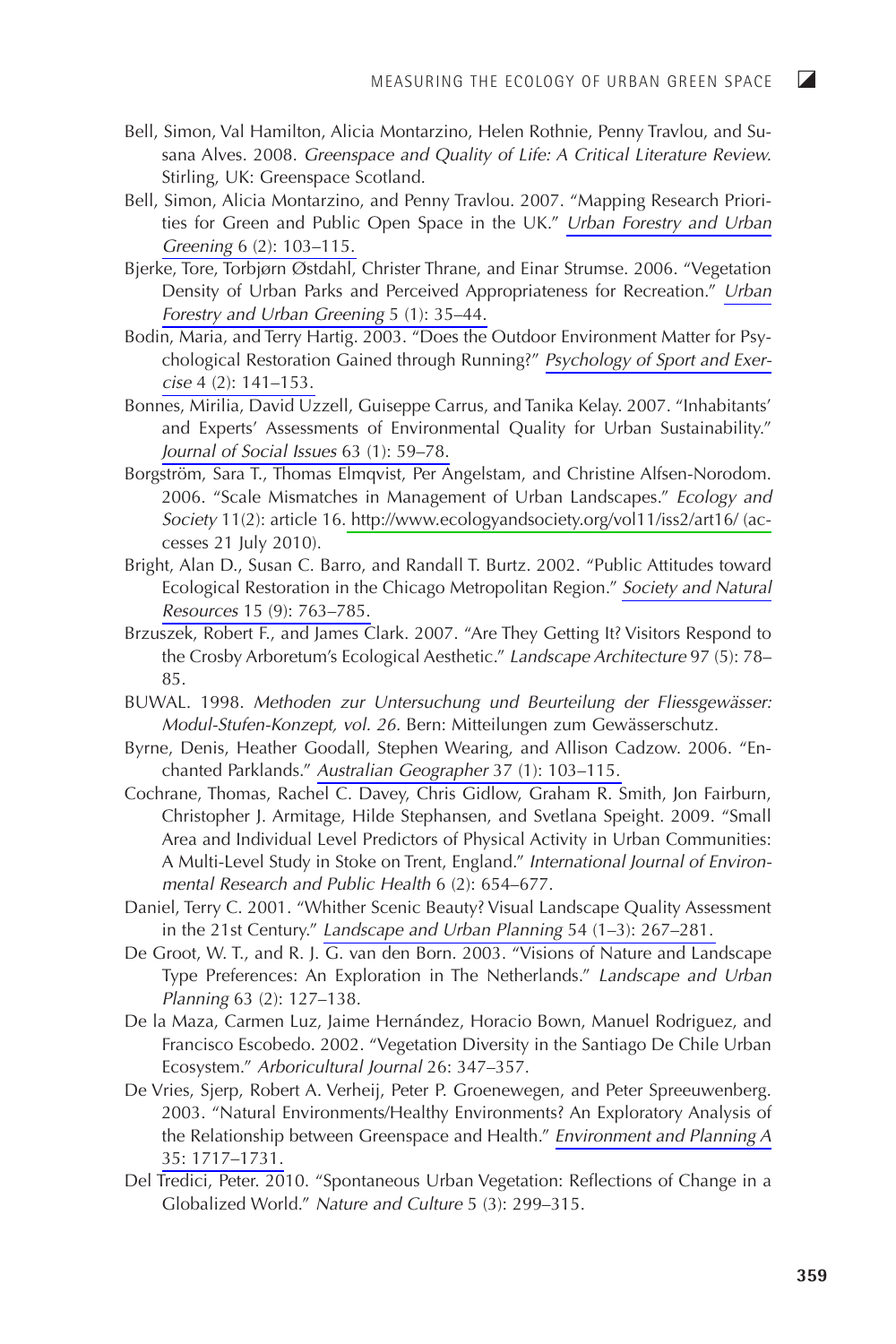$\overline{z}$ 

- Bell, Simon, Val Hamilton, Alicia Montarzino, Helen Rothnie, Penny Travlou, and Susana Alves. 2008. Greenspace and Quality of Life: A Critical Literature Review. Stirling, UK: Greenspace Scotland.
- Bell, Simon, Alicia Montarzino, and Penny Travlou. 2007. "Mapping Research Priorities for Green and Public Open Space in the UK." Urban Forestry and Urban Greening 6 (2): 103-115.
- Bjerke, Tore, Torbjørn Østdahl, Christer Thrane, and Einar Strumse, 2006. "Vegetation Density of Urban Parks and Perceived Appropriateness for Recreation." Urban Forestry and Urban Greening 5 (1): 35-44.
- Bodin, Maria, and Terry Hartig. 2003. "Does the Outdoor Environment Matter for Psychological Restoration Gained through Running?" Psychology of Sport and Exercise 4 (2): 141-153.
- Bonnes, Mirilia, David Uzzell, Guiseppe Carrus, and Tanika Kelay, 2007. "Inhabitants' and Experts' Assessments of Environmental Quality for Urban Sustainability." Journal of Social Issues 63 (1): 59-78.
- Borgström, Sara T., Thomas Elmqvist, Per Angelstam, and Christine Alfsen-Norodom. 2006. "Scale Mismatches in Management of Urban Landscapes." Ecology and Society 11(2): article 16. http://www.ecologyandsociety.org/vol11/iss2/art16/ (accesses 21 July 2010).
- Bright, Alan D., Susan C. Barro, and Randall T. Burtz. 2002. "Public Attitudes toward Ecological Restoration in the Chicago Metropolitan Region." Society and Natural Resources 15 (9): 763-785.
- Brzuszek, Robert F., and James Clark. 2007. "Are They Getting It? Visitors Respond to the Crosby Arboretum's Ecological Aesthetic." Landscape Architecture 97 (5): 78-85.
- BUWAL. 1998. Methoden zur Untersuchung und Beurteilung der Fliessgewässer: Modul-Stufen-Konzept, vol. 26. Bern: Mitteilungen zum Gewässerschutz.
- Byrne, Denis, Heather Goodall, Stephen Wearing, and Allison Cadzow. 2006. "Enchanted Parklands." Australian Geographer 37 (1): 103-115.
- Cochrane, Thomas, Rachel C. Davey, Chris Gidlow, Graham R. Smith, Jon Fairburn, Christopher J. Armitage, Hilde Stephansen, and Svetlana Speight. 2009. "Small Area and Individual Level Predictors of Physical Activity in Urban Communities: A Multi-Level Study in Stoke on Trent, England." International Journal of Environmental Research and Public Health 6 (2): 654-677.
- Daniel, Terry C. 2001. "Whither Scenic Beauty? Visual Landscape Quality Assessment in the 21st Century." Landscape and Urban Planning 54  $(1-3)$ : 267-281.
- De Groot, W. T., and R. J. G. van den Born. 2003. "Visions of Nature and Landscape Type Preferences: An Exploration in The Netherlands." Landscape and Urban Planning 63 (2): 127-138.
- De la Maza, Carmen Luz, Jaime Hernández, Horacio Bown, Manuel Rodriguez, and Francisco Escobedo. 2002. "Vegetation Diversity in the Santiago De Chile Urban Ecosystem." Arboricultural Journal 26: 347-357.
- De Vries, Sjerp, Robert A. Verheij, Peter P. Groenewegen, and Peter Spreeuwenberg. 2003. "Natural Environments/Healthy Environments? An Exploratory Analysis of the Relationship between Greenspace and Health." Environment and Planning A 35: 1717-1731.
- Del Tredici, Peter. 2010. "Spontaneous Urban Vegetation: Reflections of Change in a Globalized World." Nature and Culture 5 (3): 299-315.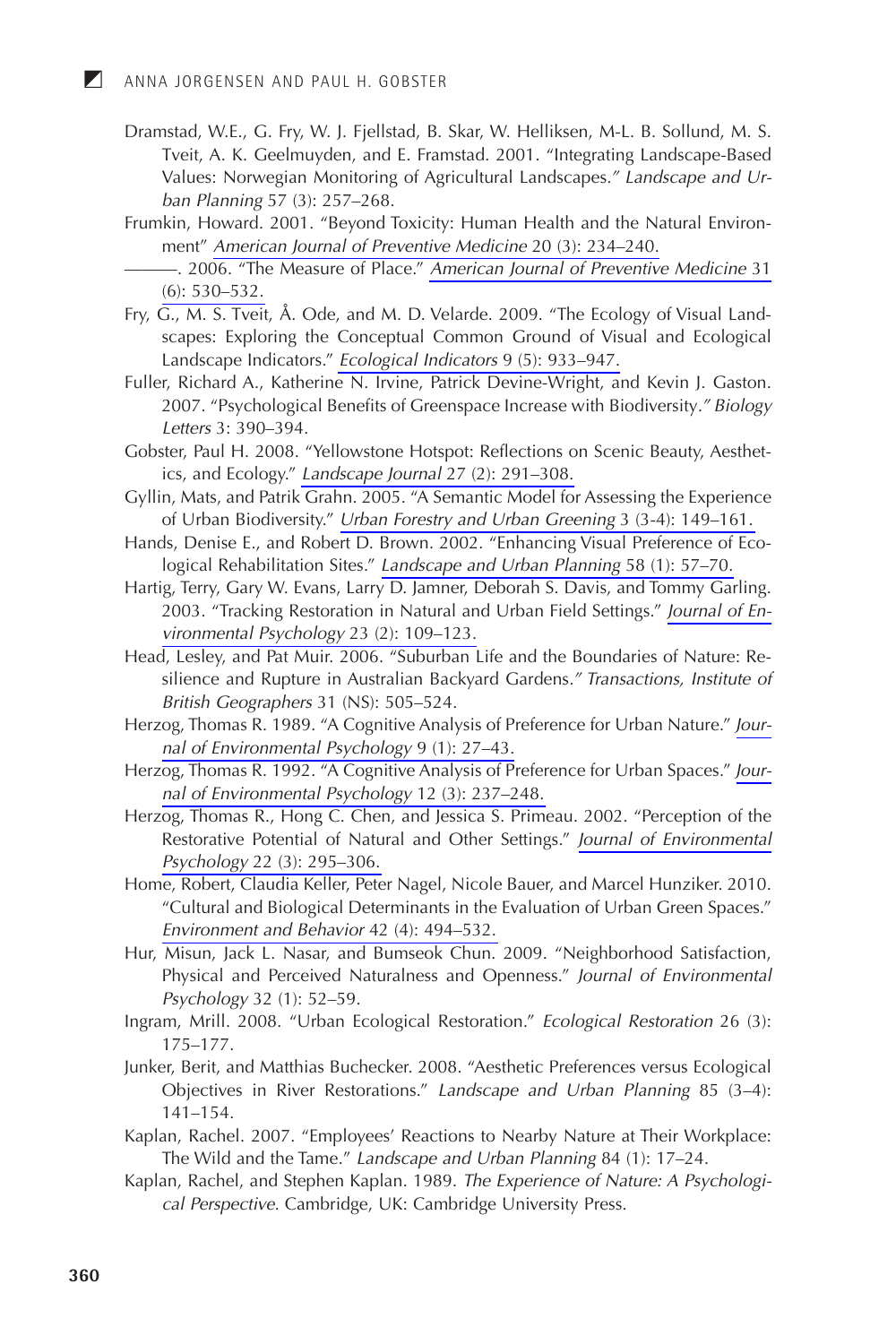И

- Dramstad, W.E., G. Fry, W. J. Fjellstad, B. Skar, W. Helliksen, M-L. B. Sollund, M. S. Tveit, A. K. Geelmuyden, and E. Framstad. 2001. "Integrating Landscape-Based Values: Norwegian Monitoring of Agricultural Landscapes." Landscape and Urban Planning 57 (3): 257-268.
- Frumkin, Howard. 2001. "Beyond Toxicity: Human Health and the Natural Environment" American Journal of Preventive Medicine 20 (3): 234-240.
	- 2006. "The Measure of Place." American Journal of Preventive Medicine 31  $(6)$ : 530-532.
- Fry, G., M. S. Tveit, Å. Ode, and M. D. Velarde. 2009. "The Ecology of Visual Landscapes: Exploring the Conceptual Common Ground of Visual and Ecological Landscape Indicators." Ecological Indicators 9 (5): 933-947.
- Fuller, Richard A., Katherine N. Irvine, Patrick Devine-Wright, and Kevin J. Gaston. 2007. "Psychological Benefits of Greenspace Increase with Biodiversity." Biology Letters 3: 390-394.
- Gobster, Paul H. 2008. "Yellowstone Hotspot: Reflections on Scenic Beauty, Aesthetics, and Ecology." Landscape Journal 27 (2): 291-308.
- Gyllin, Mats, and Patrik Grahn. 2005. "A Semantic Model for Assessing the Experience of Urban Biodiversity." Urban Forestry and Urban Greening 3 (3-4): 149-161.
- Hands, Denise E., and Robert D. Brown. 2002. "Enhancing Visual Preference of Ecological Rehabilitation Sites." Landscape and Urban Planning 58 (1): 57-70.
- Hartig, Terry, Gary W. Evans, Larry D. Jamner, Deborah S. Davis, and Tommy Garling. 2003. "Tracking Restoration in Natural and Urban Field Settings." Journal of Environmental Psychology 23 (2): 109-123.
- Head, Lesley, and Pat Muir. 2006. "Suburban Life and the Boundaries of Nature: Resilience and Rupture in Australian Backyard Gardens." Transactions, Institute of British Geographers 31 (NS): 505-524.
- Herzog, Thomas R. 1989. "A Cognitive Analysis of Preference for Urban Nature." Journal of Environmental Psychology 9 (1): 27-43.
- Herzog, Thomas R. 1992. "A Cognitive Analysis of Preference for Urban Spaces." Journal of Environmental Psychology 12 (3): 237-248.
- Herzog, Thomas R., Hong C. Chen, and Jessica S. Primeau. 2002. "Perception of the Restorative Potential of Natural and Other Settings." Journal of Environmental Psychology 22 (3): 295-306.
- Home, Robert, Claudia Keller, Peter Nagel, Nicole Bauer, and Marcel Hunziker. 2010. "Cultural and Biological Determinants in the Evaluation of Urban Green Spaces." Environment and Behavior 42 (4): 494-532.
- Hur, Misun, Jack L. Nasar, and Bumseok Chun. 2009. "Neighborhood Satisfaction, Physical and Perceived Naturalness and Openness." Journal of Environmental Psychology 32 (1): 52-59.
- Ingram, Mrill. 2008. "Urban Ecological Restoration." Ecological Restoration 26 (3):  $175 - 177.$
- Junker, Berit, and Matthias Buchecker. 2008. "Aesthetic Preferences versus Ecological Objectives in River Restorations." Landscape and Urban Planning 85 (3-4):  $141 - 154.$
- Kaplan, Rachel. 2007. "Employees' Reactions to Nearby Nature at Their Workplace: The Wild and the Tame." Landscape and Urban Planning 84 (1): 17-24.
- Kaplan, Rachel, and Stephen Kaplan. 1989. The Experience of Nature: A Psychological Perspective. Cambridge, UK: Cambridge University Press.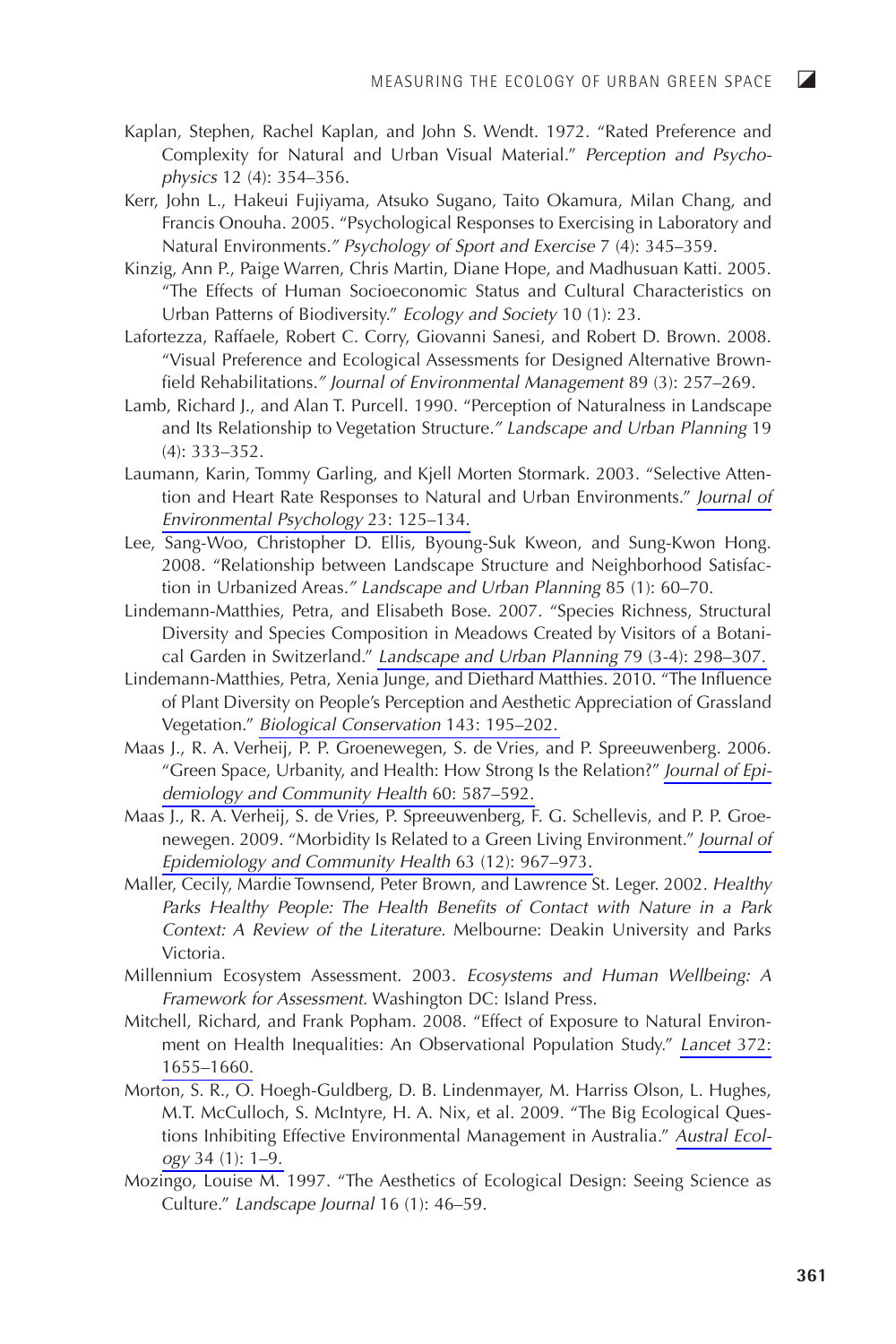- Kaplan, Stephen, Rachel Kaplan, and John S. Wendt. 1972. "Rated Preference and Complexity for Natural and Urban Visual Material." Perception and Psychophysics 12 (4): 354-356.
- Kerr, John L., Hakeui Fujiyama, Atsuko Sugano, Taito Okamura, Milan Chang, and Francis Onouha. 2005. "Psychological Responses to Exercising in Laboratory and Natural Environments." Psychology of Sport and Exercise 7 (4): 345–359.
- Kinzig, Ann P., Paige Warren, Chris Martin, Diane Hope, and Madhusuan Katti. 2005. "The Effects of Human Socioeconomic Status and Cultural Characteristics on Urban Patterns of Biodiversity." Ecology and Society 10 (1): 23.
- Lafortezza, Raffaele, Robert C. Corry, Giovanni Sanesi, and Robert D. Brown. 2008. "Visual Preference and Ecological Assessments for Designed Alternative Brownfield Rehabilitations." Journal of Environmental Management 89 (3): 257–269.
- Lamb, Richard J., and Alan T. Purcell. 1990. "Perception of Naturalness in Landscape and Its Relationship to Vegetation Structure." Landscape and Urban Planning 19  $(4): 333 - 352.$
- Laumann, Karin, Tommy Garling, and Kjell Morten Stormark. 2003. "Selective Attention and Heart Rate Responses to Natural and Urban Environments." Journal of Environmental Psychology 23: 125-134.
- Lee, Sang-Woo, Christopher D. Ellis, Byoung-Suk Kweon, and Sung-Kwon Hong. 2008. "Relationship between Landscape Structure and Neighborhood Satisfaction in Urbanized Areas." Landscape and Urban Planning 85 (1): 60-70.
- Lindemann-Matthies, Petra, and Elisabeth Bose. 2007. "Species Richness, Structural Diversity and Species Composition in Meadows Created by Visitors of a Botanical Garden in Switzerland." Landscape and Urban Planning 79 (3-4): 298–307.
- Lindemann-Matthies, Petra, Xenia Junge, and Diethard Matthies. 2010. "The Influence of Plant Diversity on People's Perception and Aesthetic Appreciation of Grassland Vegetation." Biological Conservation 143: 195-202.
- Maas J., R. A. Verheij, P. P. Groenewegen, S. de Vries, and P. Spreeuwenberg. 2006. "Green Space, Urbanity, and Health: How Strong Is the Relation?" Journal of Epidemiology and Community Health 60: 587-592.
- Maas J., R. A. Verheij, S. de Vries, P. Spreeuwenberg, F. G. Schellevis, and P. P. Groenewegen. 2009. "Morbidity Is Related to a Green Living Environment." Journal of Epidemiology and Community Health 63 (12): 967–973.
- Maller, Cecily, Mardie Townsend, Peter Brown, and Lawrence St. Leger. 2002. Healthy Parks Healthy People: The Health Benefits of Contact with Nature in a Park Context: A Review of the Literature. Melbourne: Deakin University and Parks Victoria.
- Millennium Ecosystem Assessment. 2003. Ecosystems and Human Wellbeing: A Framework for Assessment. Washington DC: Island Press.
- Mitchell, Richard, and Frank Popham. 2008. "Effect of Exposure to Natural Environment on Health Inequalities: An Observational Population Study." Lancet 372: 1655-1660.
- Morton, S. R., O. Hoegh-Guldberg, D. B. Lindenmayer, M. Harriss Olson, L. Hughes, M.T. McCulloch, S. McIntyre, H. A. Nix, et al. 2009. "The Big Ecological Questions Inhibiting Effective Environmental Management in Australia." Austral Ecology 34 (1): 1-9.
- Mozingo, Louise M. 1997. "The Aesthetics of Ecological Design: Seeing Science as Culture." Landscape Journal 16 (1): 46-59.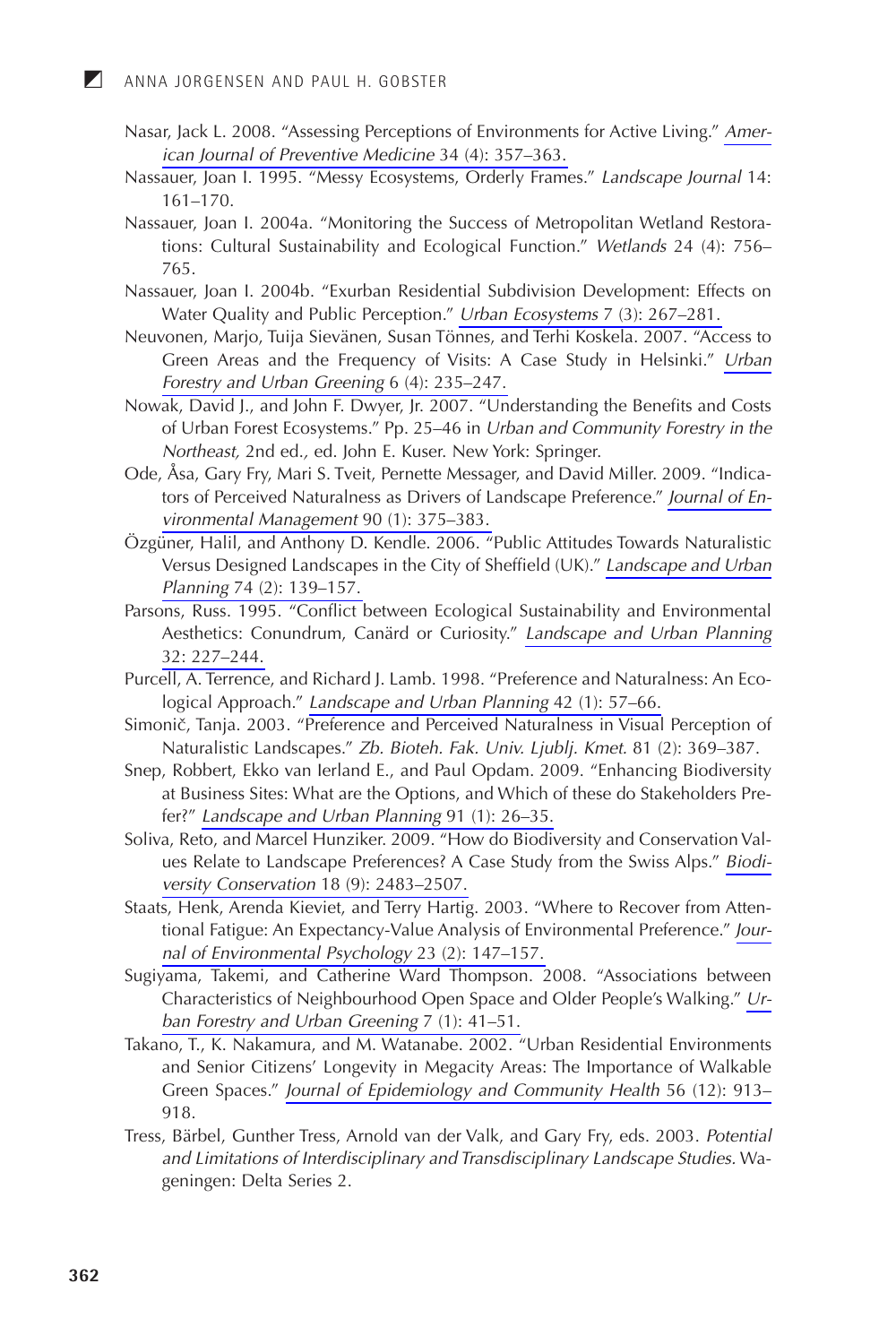- Nasar, Jack L. 2008. "Assessing Perceptions of Environments for Active Living." American Journal of Preventive Medicine 34 (4): 357-363.
- Nassauer, Joan I. 1995. "Messy Ecosystems, Orderly Frames." Landscape Journal 14:  $161 - 170.$
- Nassauer, Joan I. 2004a. "Monitoring the Success of Metropolitan Wetland Restorations: Cultural Sustainability and Ecological Function." Wetlands 24 (4): 756– 765
- Nassauer, Joan I. 2004b. "Exurban Residential Subdivision Development: Effects on Water Quality and Public Perception." Urban Ecosystems 7 (3): 267-281.
- Neuvonen, Marjo, Tuija Sievänen, Susan Tönnes, and Terhi Koskela, 2007. "Access to Green Areas and the Frequency of Visits: A Case Study in Helsinki." Urban Forestry and Urban Greening 6 (4): 235-247.
- Nowak, David J., and John F. Dwyer, Jr. 2007. "Understanding the Benefits and Costs of Urban Forest Ecosystems." Pp. 25-46 in Urban and Community Forestry in the Northeast, 2nd ed., ed. John E. Kuser. New York: Springer.
- Ode, Åsa, Gary Fry, Mari S. Tveit, Pernette Messager, and David Miller. 2009. "Indicators of Perceived Naturalness as Drivers of Landscape Preference." Journal of Environmental Management 90 (1): 375-383.
- Özgüner, Halil, and Anthony D. Kendle, 2006. "Public Attitudes Towards Naturalistic Versus Designed Landscapes in the City of Sheffield (UK)." Landscape and Urban Planning 74 (2): 139-157.
- Parsons, Russ. 1995. "Conflict between Ecological Sustainability and Environmental Aesthetics: Conundrum, Canärd or Curiosity." Landscape and Urban Planning 32: 227-244.
- Purcell, A. Terrence, and Richard J. Lamb. 1998. "Preference and Naturalness: An Ecological Approach." Landscape and Urban Planning 42 (1): 57-66.
- Simonič, Tanja. 2003. "Preference and Perceived Naturalness in Visual Perception of Naturalistic Landscapes." Zb. Bioteh. Fak. Univ. Ljublj. Kmet. 81 (2): 369-387.
- Snep, Robbert, Ekko van Ierland E., and Paul Opdam. 2009. "Enhancing Biodiversity at Business Sites: What are the Options, and Which of these do Stakeholders Prefer?" Landscape and Urban Planning 91 (1): 26-35.
- Soliva, Reto, and Marcel Hunziker. 2009. "How do Biodiversity and Conservation Values Relate to Landscape Preferences? A Case Study from the Swiss Alps." Biodiversity Conservation 18 (9): 2483-2507.
- Staats, Henk, Arenda Kieviet, and Terry Hartig. 2003. "Where to Recover from Attentional Fatigue: An Expectancy-Value Analysis of Environmental Preference." Journal of Environmental Psychology 23 (2): 147-157.
- Sugiyama, Takemi, and Catherine Ward Thompson. 2008. "Associations between Characteristics of Neighbourhood Open Space and Older People's Walking." Urban Forestry and Urban Greening 7 (1): 41-51.
- Takano, T., K. Nakamura, and M. Watanabe. 2002. "Urban Residential Environments and Senior Citizens' Longevity in Megacity Areas: The Importance of Walkable Green Spaces." Journal of Epidemiology and Community Health 56 (12): 913-918.
- Tress, Bärbel, Gunther Tress, Arnold van der Valk, and Gary Fry, eds. 2003. Potential and Limitations of Interdisciplinary and Transdisciplinary Landscape Studies. Wageningen: Delta Series 2.